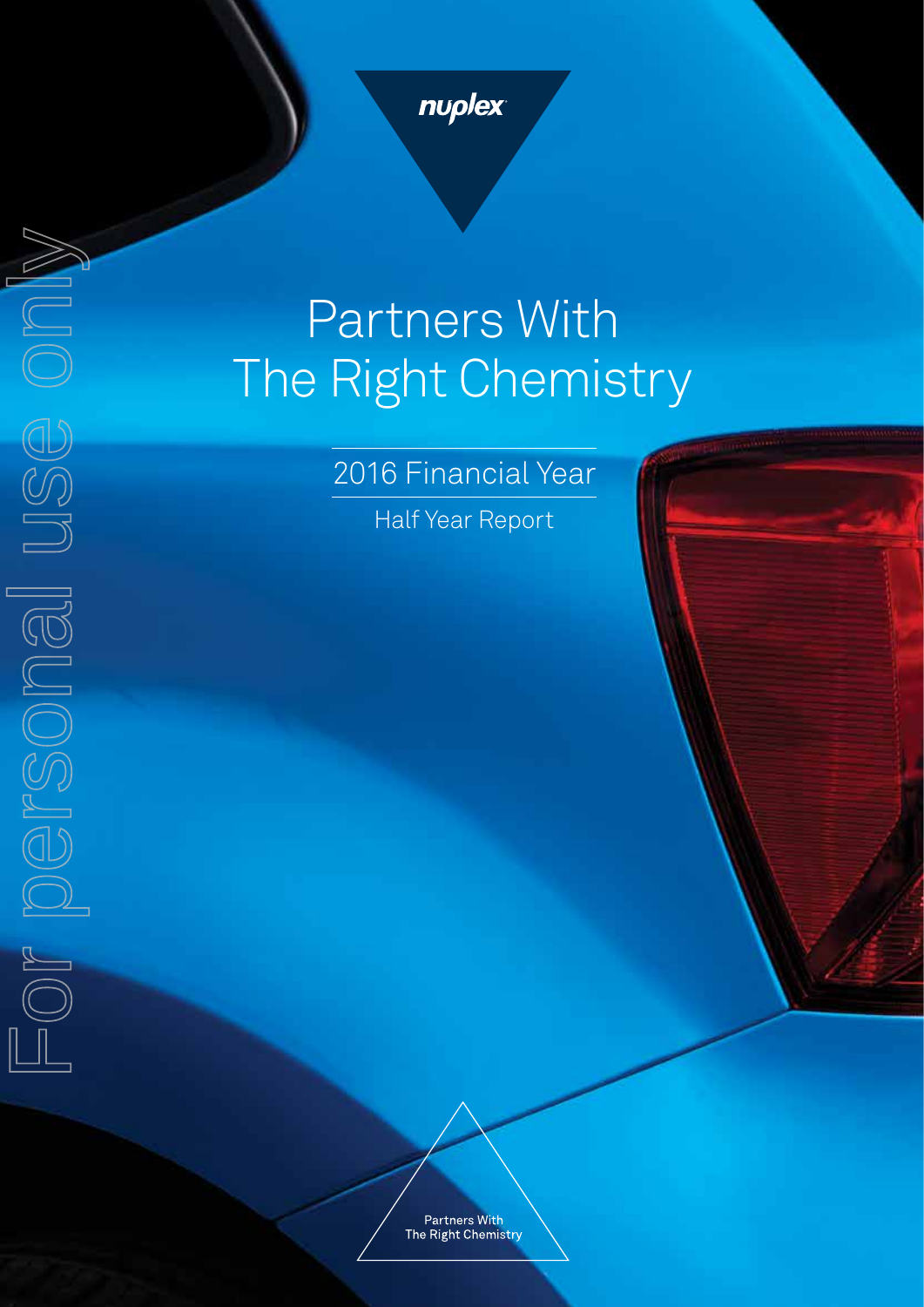

# Partners With The Right Chemistry

2016 Financial Year

Half Year Report

**Partners With** The Right Chemistry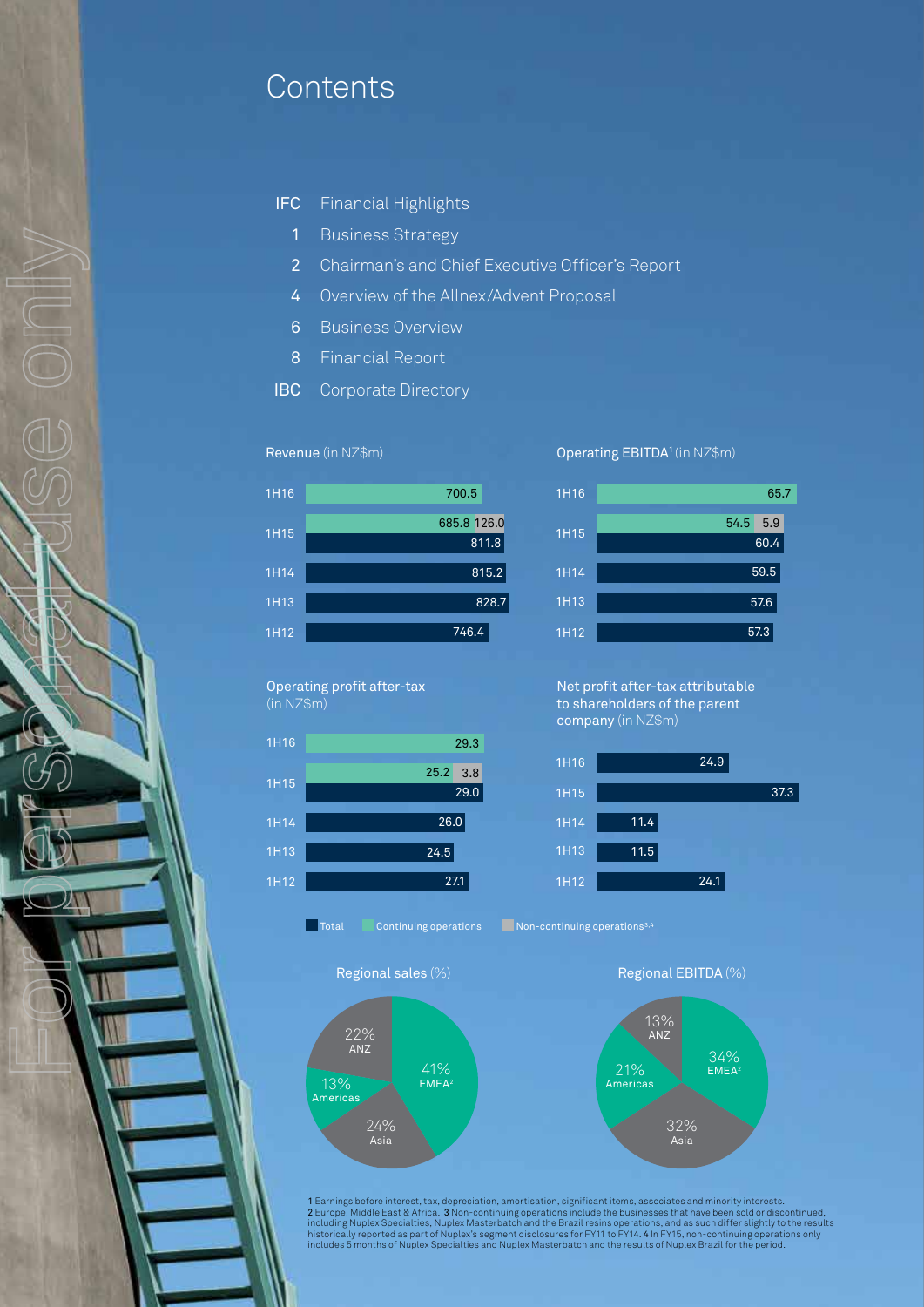# **Contents**

- IFC Financial Highlights
	- 1 Business Strategy
	- 2 Chairman's and Chief Executive Officer's Report
	- 4 Overview of the Allnex/Advent Proposal
	- 6 Business Overview
	- 8 Financial Report
- IBC Corporate Directory

#### Revenue (in NZ\$m)



Operating profit after-tax (in NZ\$m)

For perspection on use

| 1H16 | 29.3        |  |
|------|-------------|--|
| 1H15 | 25.2<br>3.8 |  |
|      | 29.0        |  |
| 1H14 | 26.0        |  |
| 1H13 | 24.5        |  |
| 1H12 | 27.1        |  |

Total Continuing operations Non-continuing operations<sup>3,4</sup>



# Operating EBITDA1 (in NZ\$m)



Net profit after-tax attributable to shareholders of the parent company (in NZ\$m)





1 Earnings before interest, tax, depreciation, amortisation, significant items, associates and minority interests. 2 Europe, Middle East & Africa. 3 Non-continuing operations include the businesses that have been sold or discontinued,<br>including Nuplex Specialties, Nuplex Masterbatch and the Brazil resins operations, and as such differ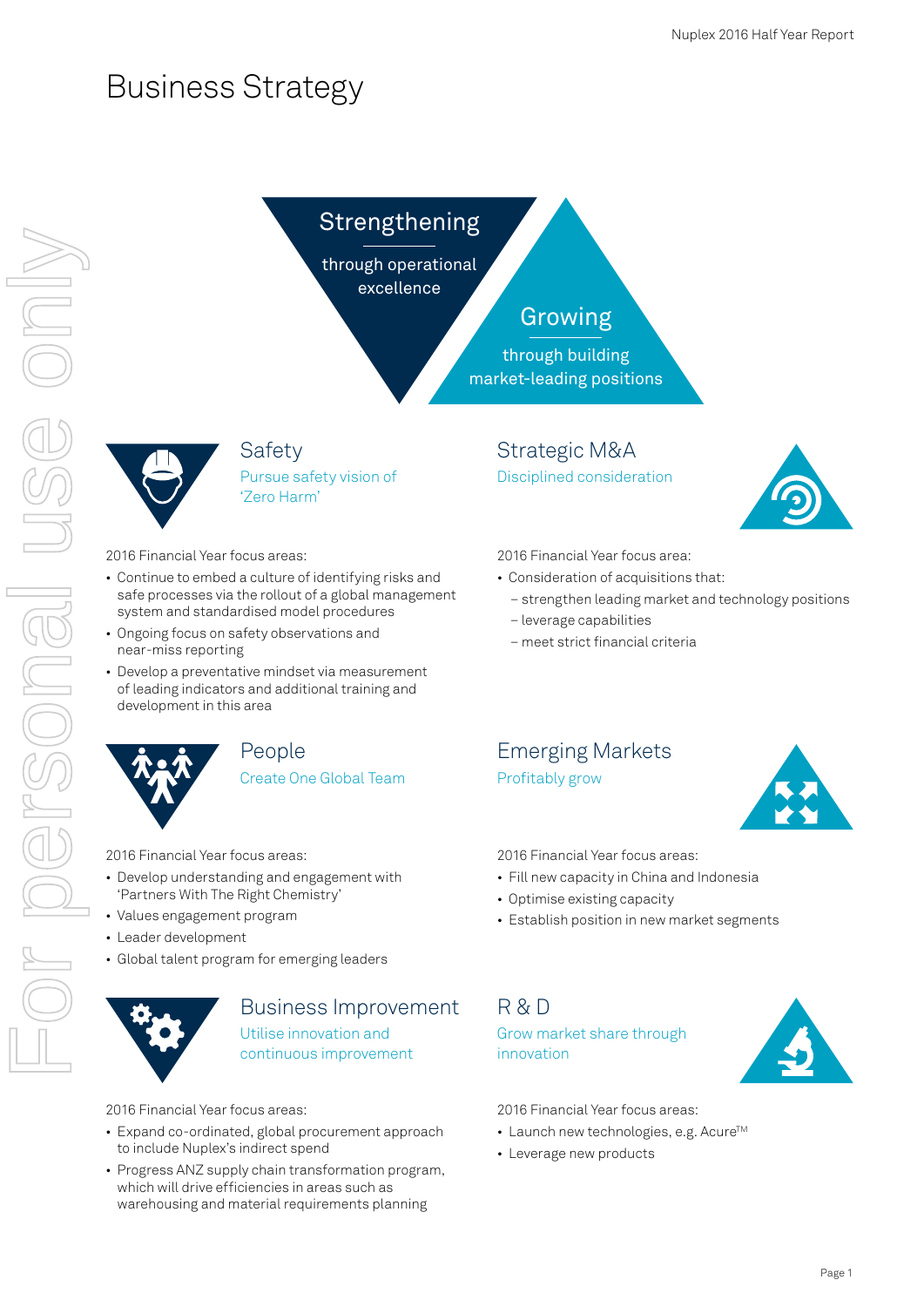# Business Strategy

# Strengthening

through operational excellence

# Growing

through building market-leading positions



Safety Pursue safety vision of 'Zero Harm'

## 2016 Financial Year focus areas:

- Continue to embed a culture of identifying risks and safe processes via the rollout of a global management system and standardised model procedures
- Ongoing focus on safety observations and near-miss reporting
- Develop a preventative mindset via measurement of leading indicators and additional training and development in this area



## People Create One Global Team

2016 Financial Year focus areas:

- Develop understanding and engagement with 'Partners With The Right Chemistry'
- Values engagement program
- Leader development
- Global talent program for emerging leaders



# Business Improvement Utilise innovation and continuous improvement

2016 Financial Year focus areas:

- Expand co-ordinated, global procurement approach to include Nuplex's indirect spend
- Progress ANZ supply chain transformation program, which will drive efficiencies in areas such as warehousing and material requirements planning

Strategic M&A Disciplined consideration



2016 Financial Year focus area:

- Consideration of acquisitions that:
	- strengthen leading market and technology positions
	- leverage capabilities
	- meet strict financial criteria

# Emerging Markets Profitably grow



2016 Financial Year focus areas:

- Fill new capacity in China and Indonesia
- Optimise existing capacity
- Establish position in new market segments

R & D Grow market share through innovation



2016 Financial Year focus areas:

- Launch new technologies, e.g. Acure<sup>TM</sup>
- Leverage new products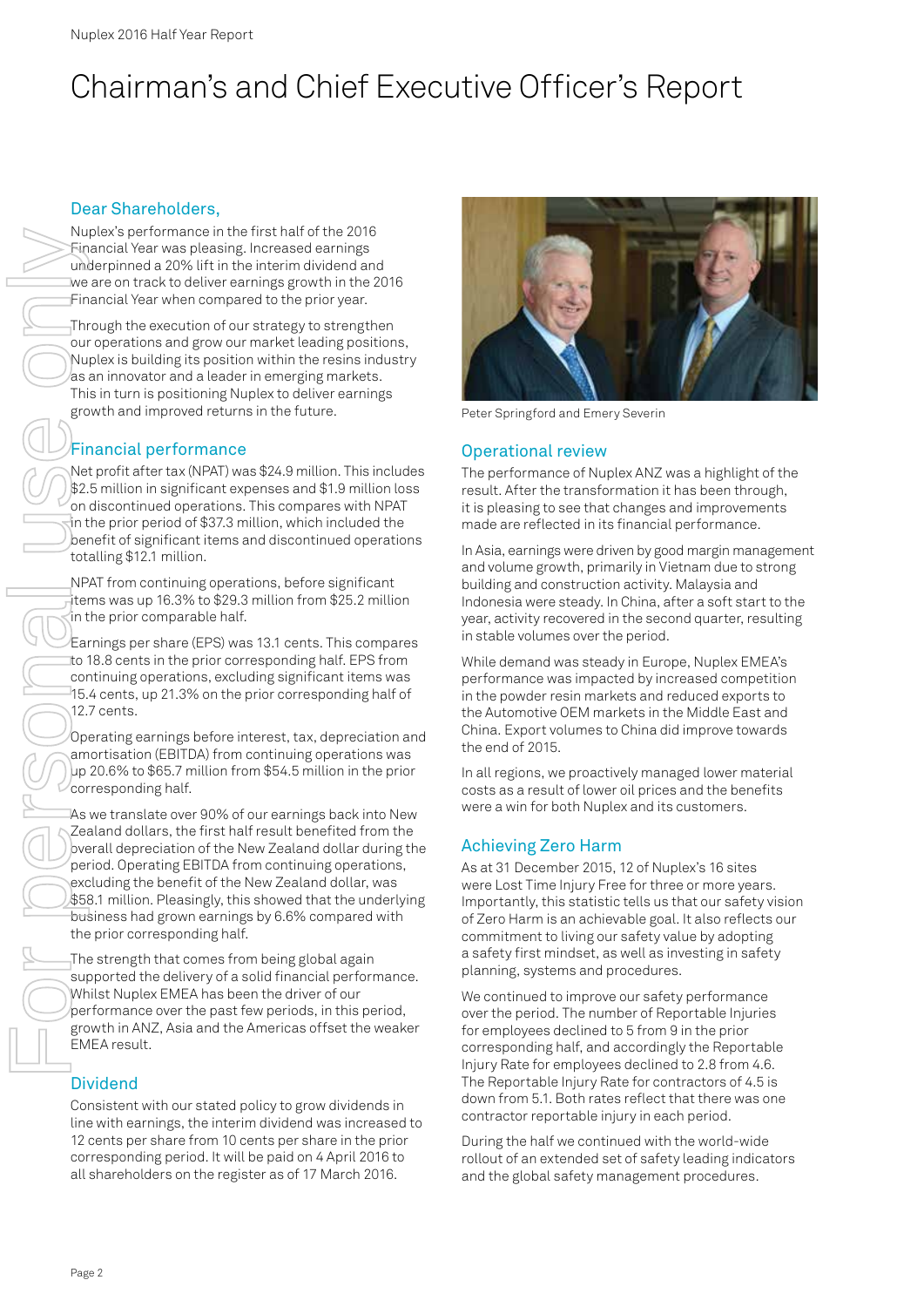# Chairman's and Chief Executive Officer's Report

## Dear Shareholders,

Nuplex's performance in the first half of the 2016 Financial Year was pleasing. Increased earnings underpinned a 20% lift in the interim dividend and we are on track to deliver earnings growth in the 2016 Financial Year when compared to the prior year.

Through the execution of our strategy to strengthen our operations and grow our market leading positions, Nuplex is building its position within the resins industry as an innovator and a leader in emerging markets. This in turn is positioning Nuplex to deliver earnings growth and improved returns in the future.

# Financial performance

Net profit after tax (NPAT) was \$24.9 million. This includes \$2.5 million in significant expenses and \$1.9 million loss on discontinued operations. This compares with NPAT in the prior period of \$37.3 million, which included the benefit of significant items and discontinued operations totalling \$12.1 million.

NPAT from continuing operations, before significant items was up 16.3% to \$29.3 million from \$25.2 million in the prior comparable half.

Earnings per share (EPS) was 13.1 cents. This compares to 18.8 cents in the prior corresponding half. EPS from continuing operations, excluding significant items was 15.4 cents, up 21.3% on the prior corresponding half of 12.7 cents.

Operating earnings before interest, tax, depreciation and amortisation (EBITDA) from continuing operations was up 20.6% to \$65.7 million from \$54.5 million in the prior corresponding half.

As we translate over 90% of our earnings back into New Zealand dollars, the first half result benefited from the overall depreciation of the New Zealand dollar during the period. Operating EBITDA from continuing operations, excluding the benefit of the New Zealand dollar, was \$58.1 million. Pleasingly, this showed that the underlying business had grown earnings by 6.6% compared with the prior corresponding half.

The strength that comes from being global again supported the delivery of a solid financial performance. Whilst Nuplex EMEA has been the driver of our performance over the past few periods, in this period, growth in ANZ, Asia and the Americas offset the weaker EMEA result.

# **Dividend**

Consistent with our stated policy to grow dividends in line with earnings, the interim dividend was increased to 12 cents per share from 10 cents per share in the prior corresponding period. It will be paid on 4 April 2016 to all shareholders on the register as of 17 March 2016.



Peter Springford and Emery Severin

## Operational review

The performance of Nuplex ANZ was a highlight of the result. After the transformation it has been through, it is pleasing to see that changes and improvements made are reflected in its financial performance.

In Asia, earnings were driven by good margin management and volume growth, primarily in Vietnam due to strong building and construction activity. Malaysia and Indonesia were steady. In China, after a soft start to the year, activity recovered in the second quarter, resulting in stable volumes over the period.

While demand was steady in Europe, Nuplex EMEA's performance was impacted by increased competition in the powder resin markets and reduced exports to the Automotive OEM markets in the Middle East and China. Export volumes to China did improve towards the end of 2015.

In all regions, we proactively managed lower material costs as a result of lower oil prices and the benefits were a win for both Nuplex and its customers.

# Achieving Zero Harm

As at 31 December 2015, 12 of Nuplex's 16 sites were Lost Time Injury Free for three or more years. Importantly, this statistic tells us that our safety vision of Zero Harm is an achievable goal. It also reflects our commitment to living our safety value by adopting a safety first mindset, as well as investing in safety planning, systems and procedures.

We continued to improve our safety performance over the period. The number of Reportable Injuries for employees declined to 5 from 9 in the prior corresponding half, and accordingly the Reportable Injury Rate for employees declined to 2.8 from 4.6. The Reportable Injury Rate for contractors of 4.5 is down from 5.1. Both rates reflect that there was one contractor reportable injury in each period.

During the half we continued with the world-wide rollout of an extended set of safety leading indicators and the global safety management procedures.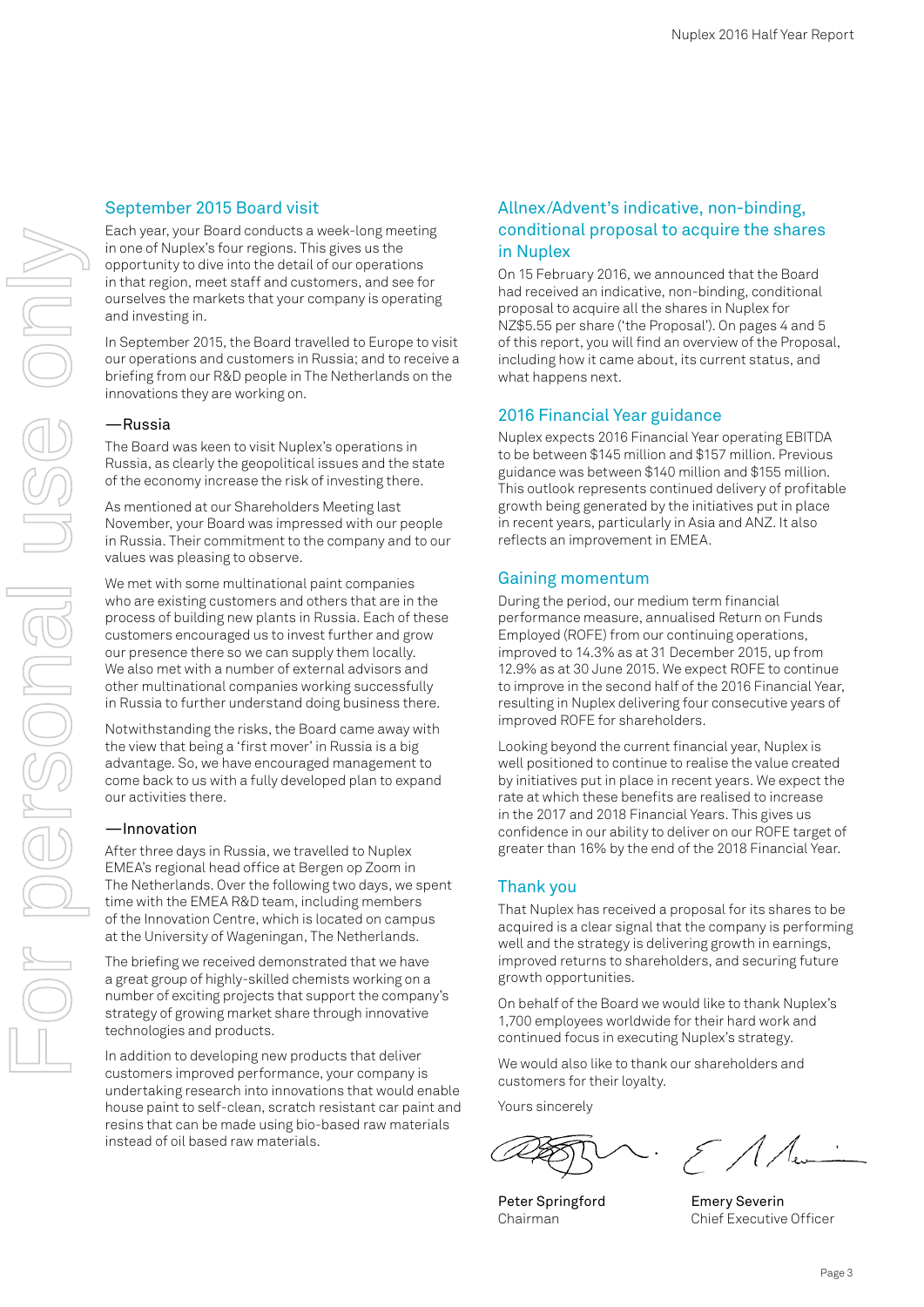## September 2015 Board visit

Each year, your Board conducts a week-long meeting in one of Nuplex's four regions. This gives us the opportunity to dive into the detail of our operations in that region, meet staff and customers, and see for ourselves the markets that your company is operating and investing in.

In September 2015, the Board travelled to Europe to visit our operations and customers in Russia; and to receive a briefing from our R&D people in The Netherlands on the innovations they are working on.

#### —Russia

The Board was keen to visit Nuplex's operations in Russia, as clearly the geopolitical issues and the state of the economy increase the risk of investing there.

As mentioned at our Shareholders Meeting last November, your Board was impressed with our people in Russia. Their commitment to the company and to our values was pleasing to observe.

We met with some multinational paint companies who are existing customers and others that are in the process of building new plants in Russia. Each of these customers encouraged us to invest further and grow our presence there so we can supply them locally. We also met with a number of external advisors and other multinational companies working successfully in Russia to further understand doing business there.

Notwithstanding the risks, the Board came away with the view that being a 'first mover' in Russia is a big advantage. So, we have encouraged management to come back to us with a fully developed plan to expand our activities there.

#### —Innovation

After three days in Russia, we travelled to Nuplex EMEA's regional head office at Bergen op Zoom in The Netherlands. Over the following two days, we spent time with the EMEA R&D team, including members of the Innovation Centre, which is located on campus at the University of Wageningan, The Netherlands.

The briefing we received demonstrated that we have a great group of highly-skilled chemists working on a number of exciting projects that support the company's strategy of growing market share through innovative technologies and products.

In addition to developing new products that deliver customers improved performance, your company is undertaking research into innovations that would enable house paint to self-clean, scratch resistant car paint and resins that can be made using bio-based raw materials instead of oil based raw materials.

## Allnex/Advent's indicative, non-binding, conditional proposal to acquire the shares in Nuplex

On 15 February 2016, we announced that the Board had received an indicative, non-binding, conditional proposal to acquire all the shares in Nuplex for NZ\$5.55 per share ('the Proposal'). On pages 4 and 5 of this report, you will find an overview of the Proposal, including how it came about, its current status, and what happens next.

#### 2016 Financial Year guidance

Nuplex expects 2016 Financial Year operating EBITDA to be between \$145 million and \$157 million. Previous guidance was between \$140 million and \$155 million. This outlook represents continued delivery of profitable growth being generated by the initiatives put in place in recent years, particularly in Asia and ANZ. It also reflects an improvement in EMEA.

#### Gaining momentum

During the period, our medium term financial performance measure, annualised Return on Funds Employed (ROFE) from our continuing operations, improved to 14.3% as at 31 December 2015, up from 12.9% as at 30 June 2015. We expect ROFE to continue to improve in the second half of the 2016 Financial Year, resulting in Nuplex delivering four consecutive years of improved ROFE for shareholders.

Looking beyond the current financial year, Nuplex is well positioned to continue to realise the value created by initiatives put in place in recent years. We expect the rate at which these benefits are realised to increase in the 2017 and 2018 Financial Years. This gives us confidence in our ability to deliver on our ROFE target of greater than 16% by the end of the 2018 Financial Year.

#### Thank you

That Nuplex has received a proposal for its shares to be acquired is a clear signal that the company is performing well and the strategy is delivering growth in earnings, improved returns to shareholders, and securing future growth opportunities.

On behalf of the Board we would like to thank Nuplex's 1,700 employees worldwide for their hard work and continued focus in executing Nuplex's strategy.

We would also like to thank our shareholders and customers for their loyalty.

Yours sincerely

Peter Springford Chairman

 $\mathcal{E}/\mathcal{A}$ 

Emery Severin Chief Executive Officer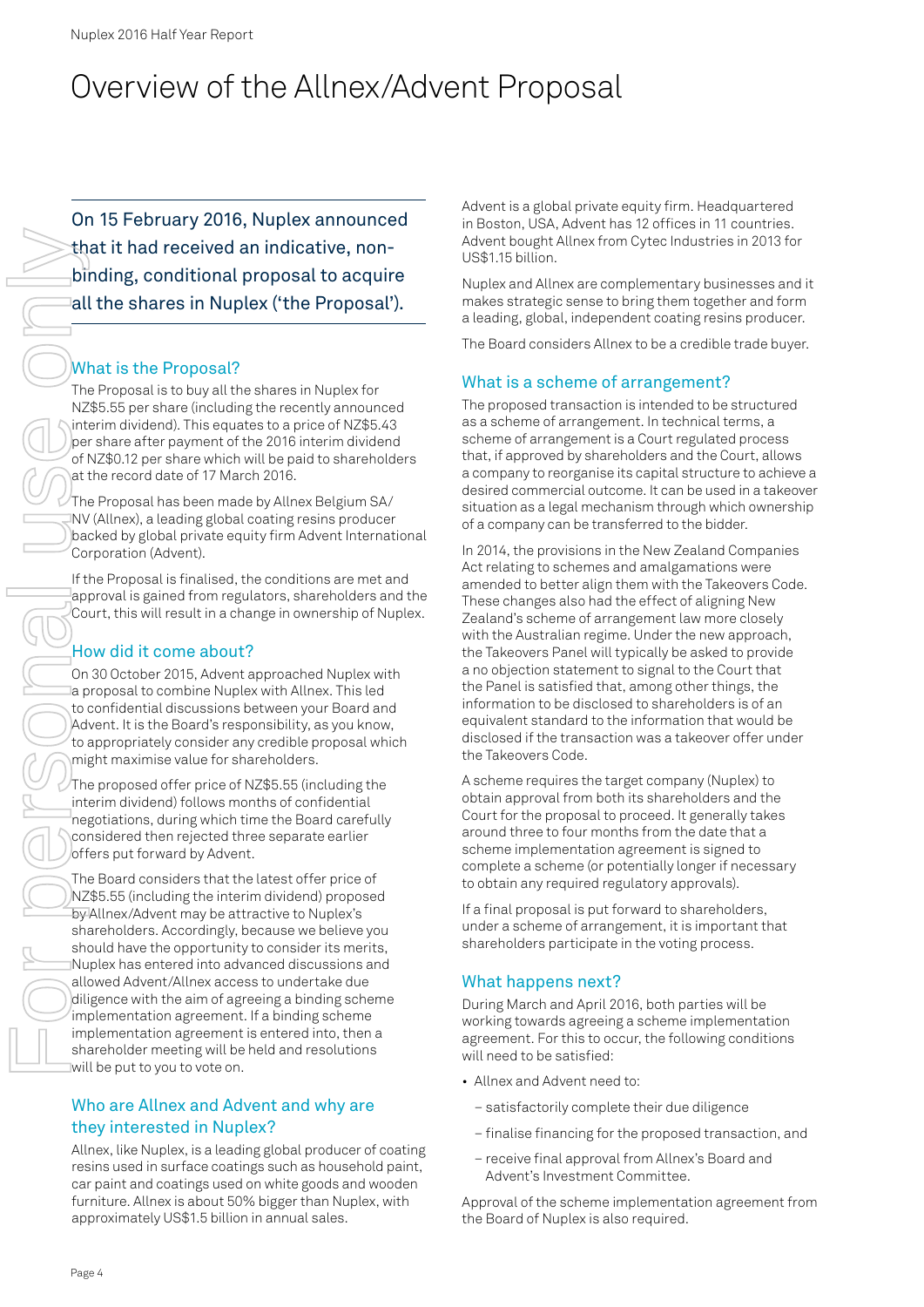# Overview of the Allnex/Advent Proposal

On 15 February 2016, Nuplex announced that it had received an indicative, nonbinding, conditional proposal to acquire all the shares in Nuplex ('the Proposal').

# What is the Proposal?

The Proposal is to buy all the shares in Nuplex for NZ\$5.55 per share (including the recently announced interim dividend). This equates to a price of NZ\$5.43 per share after payment of the 2016 interim dividend of NZ\$0.12 per share which will be paid to shareholders at the record date of 17 March 2016.

The Proposal has been made by Allnex Belgium SA/ NV (Allnex), a leading global coating resins producer backed by global private equity firm Advent International Corporation (Advent).

If the Proposal is finalised, the conditions are met and approval is gained from regulators, shareholders and the Court, this will result in a change in ownership of Nuplex.

# How did it come about?

On 30 October 2015, Advent approached Nuplex with a proposal to combine Nuplex with Allnex. This led to confidential discussions between your Board and Advent. It is the Board's responsibility, as you know, to appropriately consider any credible proposal which might maximise value for shareholders.

The proposed offer price of NZ\$5.55 (including the interim dividend) follows months of confidential negotiations, during which time the Board carefully considered then rejected three separate earlier offers put forward by Advent.

The Board considers that the latest offer price of NZ\$5.55 (including the interim dividend) proposed by Allnex/Advent may be attractive to Nuplex's shareholders. Accordingly, because we believe you should have the opportunity to consider its merits, Nuplex has entered into advanced discussions and allowed Advent/Allnex access to undertake due diligence with the aim of agreeing a binding scheme implementation agreement. If a binding scheme implementation agreement is entered into, then a shareholder meeting will be held and resolutions will be put to you to vote on.

# Who are Allnex and Advent and why are they interested in Nuplex?

Allnex, like Nuplex, is a leading global producer of coating resins used in surface coatings such as household paint, car paint and coatings used on white goods and wooden furniture. Allnex is about 50% bigger than Nuplex, with approximately US\$1.5 billion in annual sales.

Advent is a global private equity firm. Headquartered in Boston, USA, Advent has 12 offices in 11 countries. Advent bought Allnex from Cytec Industries in 2013 for US\$1.15 billion.

Nuplex and Allnex are complementary businesses and it makes strategic sense to bring them together and form a leading, global, independent coating resins producer.

The Board considers Allnex to be a credible trade buyer.

# What is a scheme of arrangement?

The proposed transaction is intended to be structured as a scheme of arrangement. In technical terms, a scheme of arrangement is a Court regulated process that, if approved by shareholders and the Court, allows a company to reorganise its capital structure to achieve a desired commercial outcome. It can be used in a takeover situation as a legal mechanism through which ownership of a company can be transferred to the bidder.

In 2014, the provisions in the New Zealand Companies Act relating to schemes and amalgamations were amended to better align them with the Takeovers Code. These changes also had the effect of aligning New Zealand's scheme of arrangement law more closely with the Australian regime. Under the new approach, the Takeovers Panel will typically be asked to provide a no objection statement to signal to the Court that the Panel is satisfied that, among other things, the information to be disclosed to shareholders is of an equivalent standard to the information that would be disclosed if the transaction was a takeover offer under the Takeovers Code.

A scheme requires the target company (Nuplex) to obtain approval from both its shareholders and the Court for the proposal to proceed. It generally takes around three to four months from the date that a scheme implementation agreement is signed to complete a scheme (or potentially longer if necessary to obtain any required regulatory approvals).

If a final proposal is put forward to shareholders, under a scheme of arrangement, it is important that shareholders participate in the voting process.

# What happens next?

During March and April 2016, both parties will be working towards agreeing a scheme implementation agreement. For this to occur, the following conditions will need to be satisfied:

- Allnex and Advent need to:
	- satisfactorily complete their due diligence
	- finalise financing for the proposed transaction, and
	- receive final approval from Allnex's Board and Advent's Investment Committee.

Approval of the scheme implementation agreement from the Board of Nuplex is also required.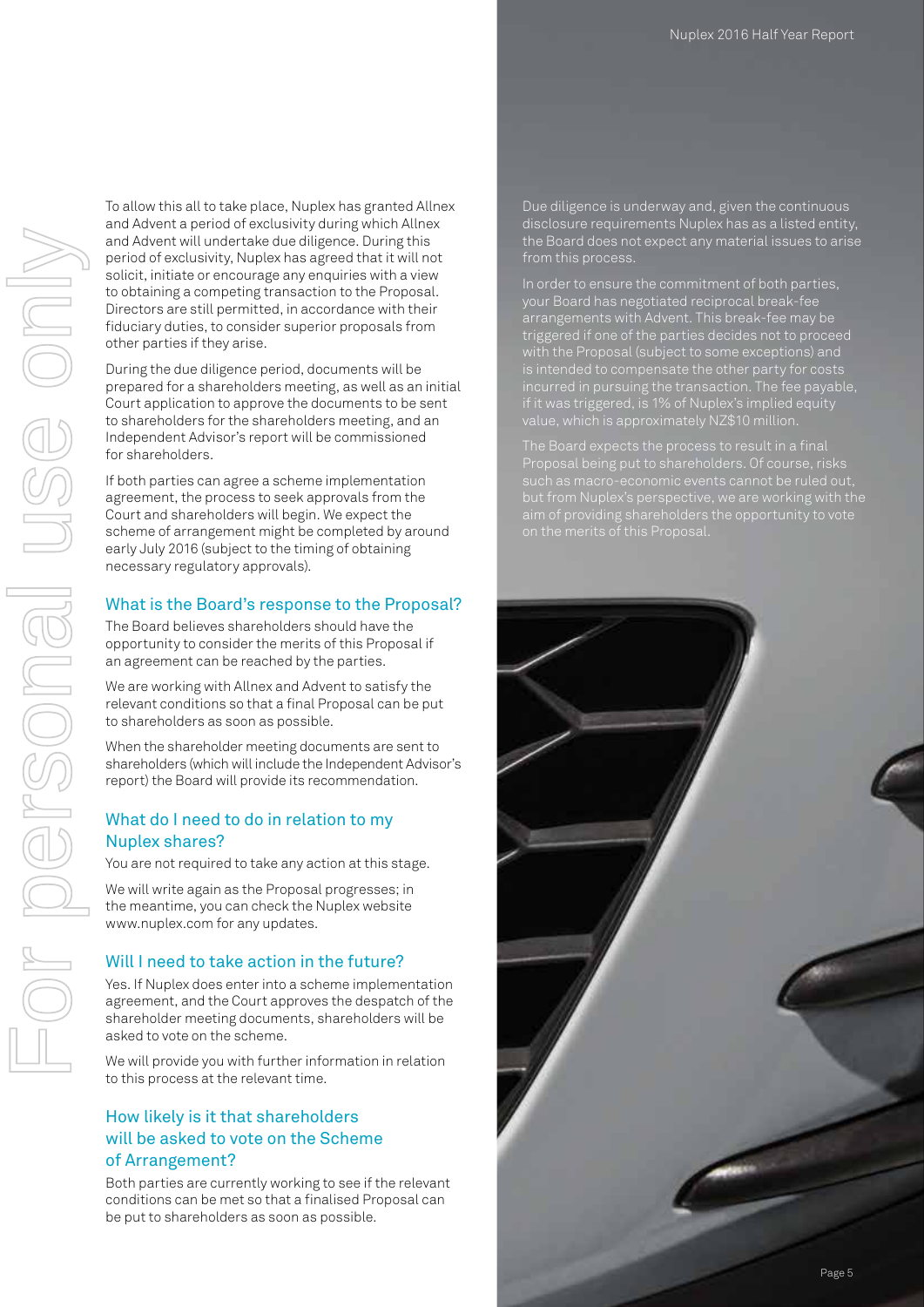For personal use only 

To allow this all to take place, Nuplex has granted Allnex and Advent a period of exclusivity during which Allnex and Advent will undertake due diligence. During this period of exclusivity, Nuplex has agreed that it will not solicit, initiate or encourage any enquiries with a view to obtaining a competing transaction to the Proposal. Directors are still permitted, in accordance with their fiduciary duties, to consider superior proposals from other parties if they arise.

During the due diligence period, documents will be prepared for a shareholders meeting, as well as an initial Court application to approve the documents to be sent to shareholders for the shareholders meeting, and an Independent Advisor's report will be commissioned for shareholders.

If both parties can agree a scheme implementation agreement, the process to seek approvals from the Court and shareholders will begin. We expect the scheme of arrangement might be completed by around early July 2016 (subject to the timing of obtaining necessary regulatory approvals).

## What is the Board's response to the Proposal?

The Board believes shareholders should have the opportunity to consider the merits of this Proposal if an agreement can be reached by the parties.

We are working with Allnex and Advent to satisfy the relevant conditions so that a final Proposal can be put to shareholders as soon as possible.

When the shareholder meeting documents are sent to shareholders (which will include the Independent Advisor's report) the Board will provide its recommendation.

## What do I need to do in relation to my Nuplex shares?

You are not required to take any action at this stage.

We will write again as the Proposal progresses; in the meantime, you can check the Nuplex website www.nuplex.com for any updates.

#### Will I need to take action in the future?

Yes. If Nuplex does enter into a scheme implementation agreement, and the Court approves the despatch of the shareholder meeting documents, shareholders will be asked to vote on the scheme.

We will provide you with further information in relation to this process at the relevant time.

## How likely is it that shareholders will be asked to vote on the Scheme of Arrangement?

Both parties are currently working to see if the relevant conditions can be met so that a finalised Proposal can be put to shareholders as soon as possible.

Due diligence is underway and, given the continuous disclosure requirements Nuplex has as a listed entity, the Board does not expect any material issues to arise from this process.

In order to ensure the commitment of both parties, arrangements with Advent. This break-fee may be triggered if one of the parties decides not to proceed with the Proposal (subject to some exceptions) and if it was triggered, is 1% of Nuplex's implied equity value, which is approximately NZ\$10 million.

such as macro-economic events cannot be ruled out,

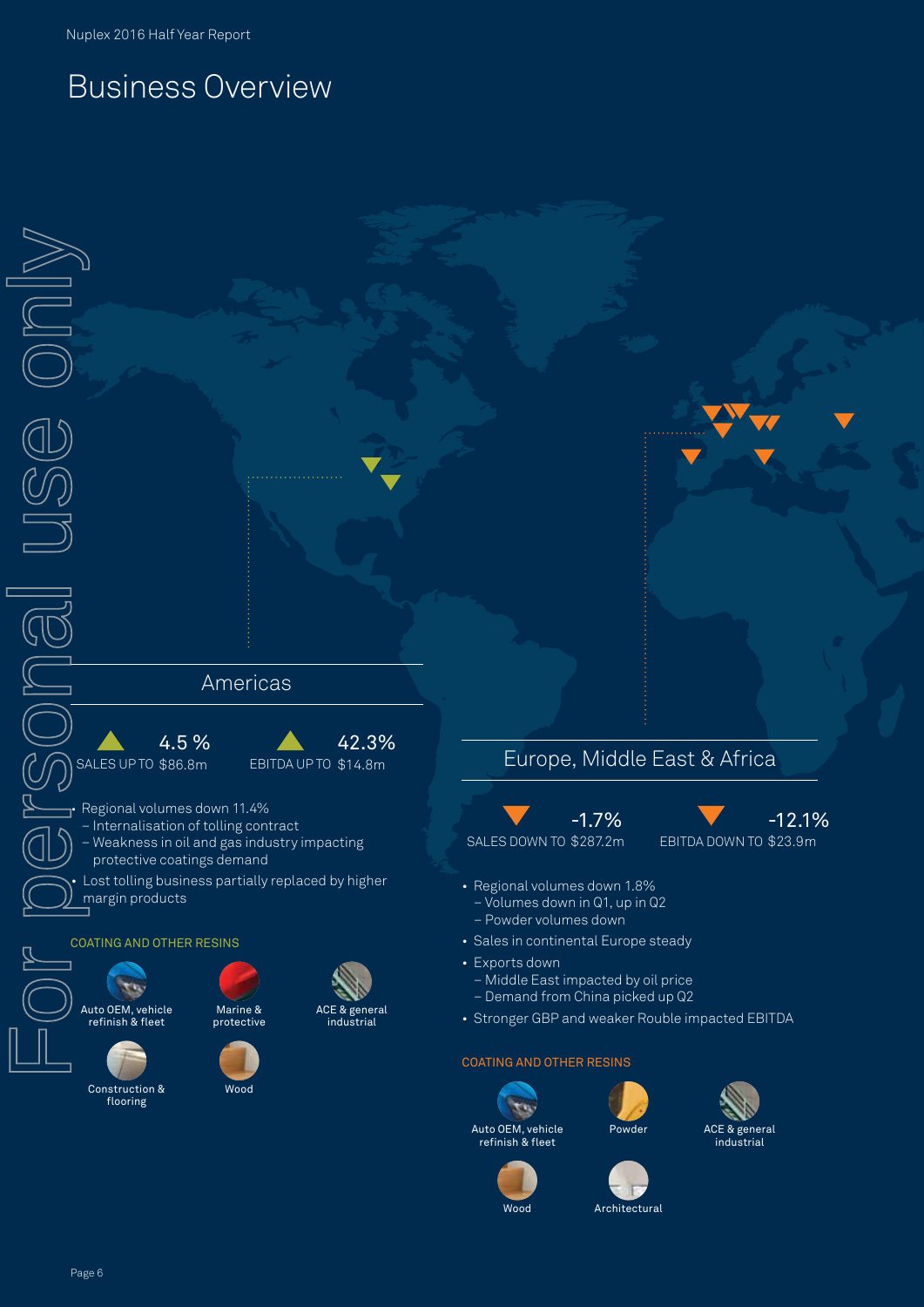# Business Overview

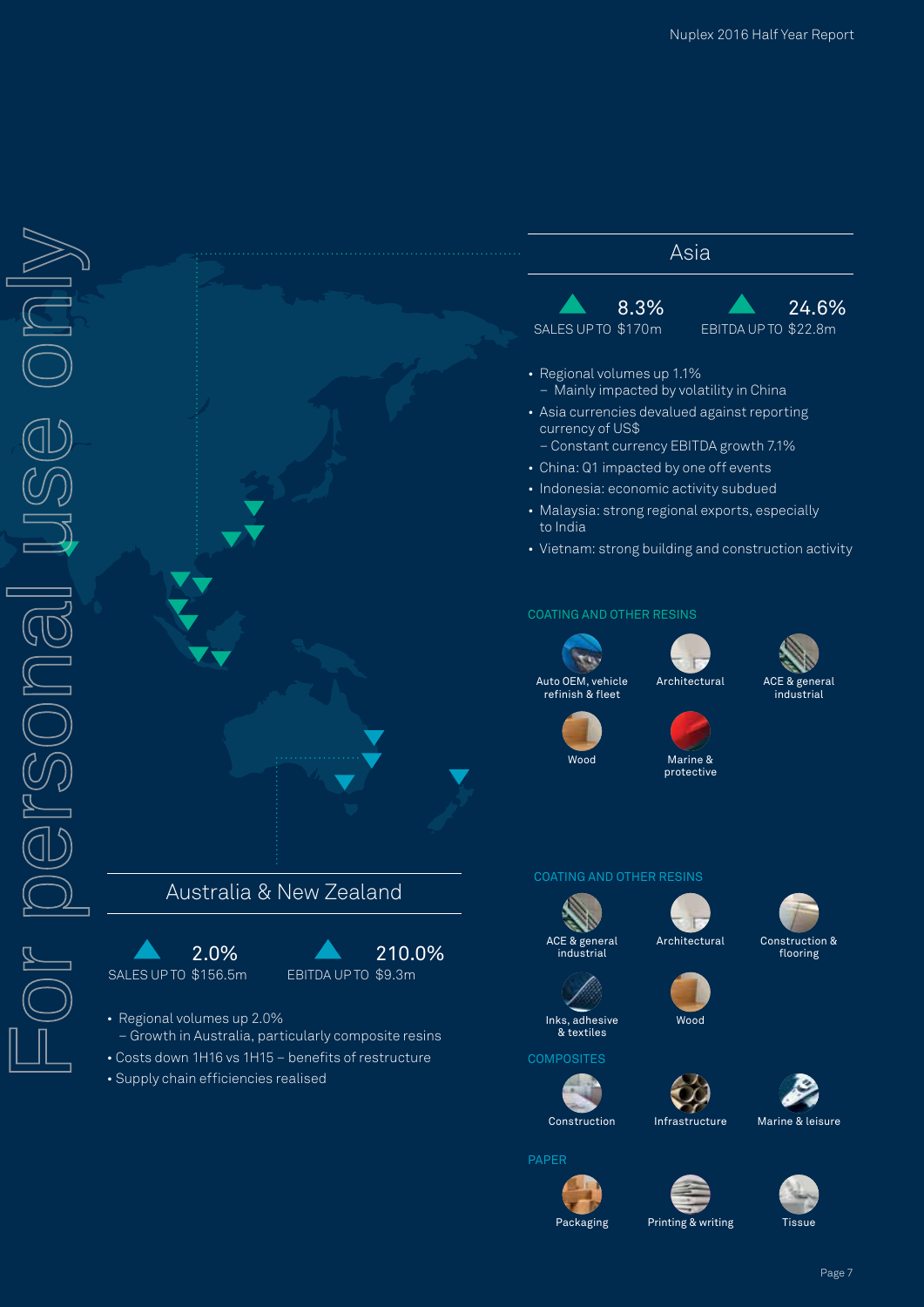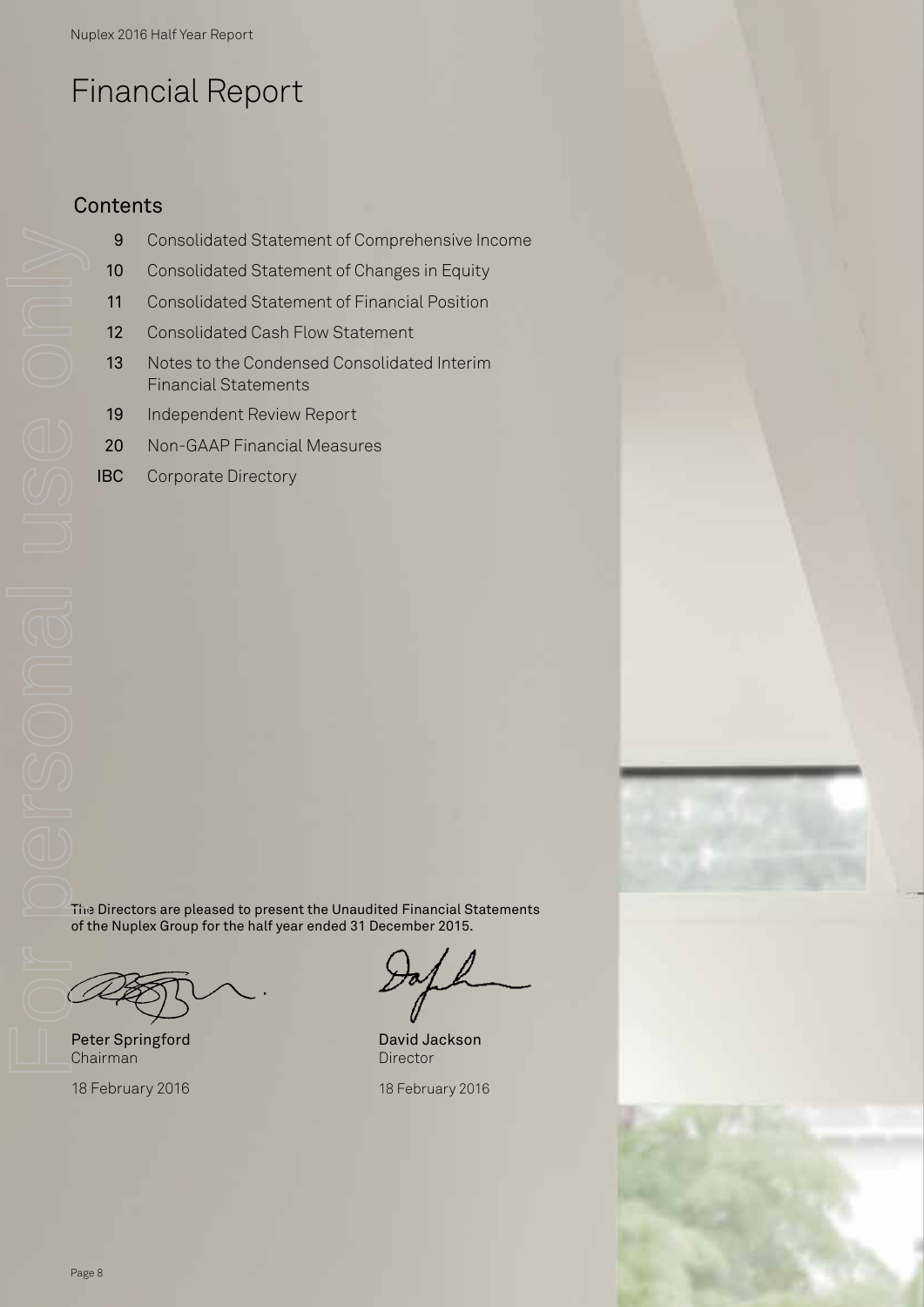# Financial Report

# **Contents**

- 9 Consolidated Statement of Comprehensive Income
- 10 Consolidated Statement of Changes in Equity
- 11 Consolidated Statement of Financial Position
- 12 Consolidated Cash Flow Statement
- 13 Notes to the Condensed Consolidated Interim Financial Statements
- 19 Independent Review Report
- 20 Non-GAAP Financial Measures
- IBC Corporate Directory

The Directors are pleased to present the Unaudited Financial Statements of the Nuplex Group for the half year ended 31 December 2015.

Peter Springford Chairman

18 February 2016

David Jackson **Director** 

18 February 2016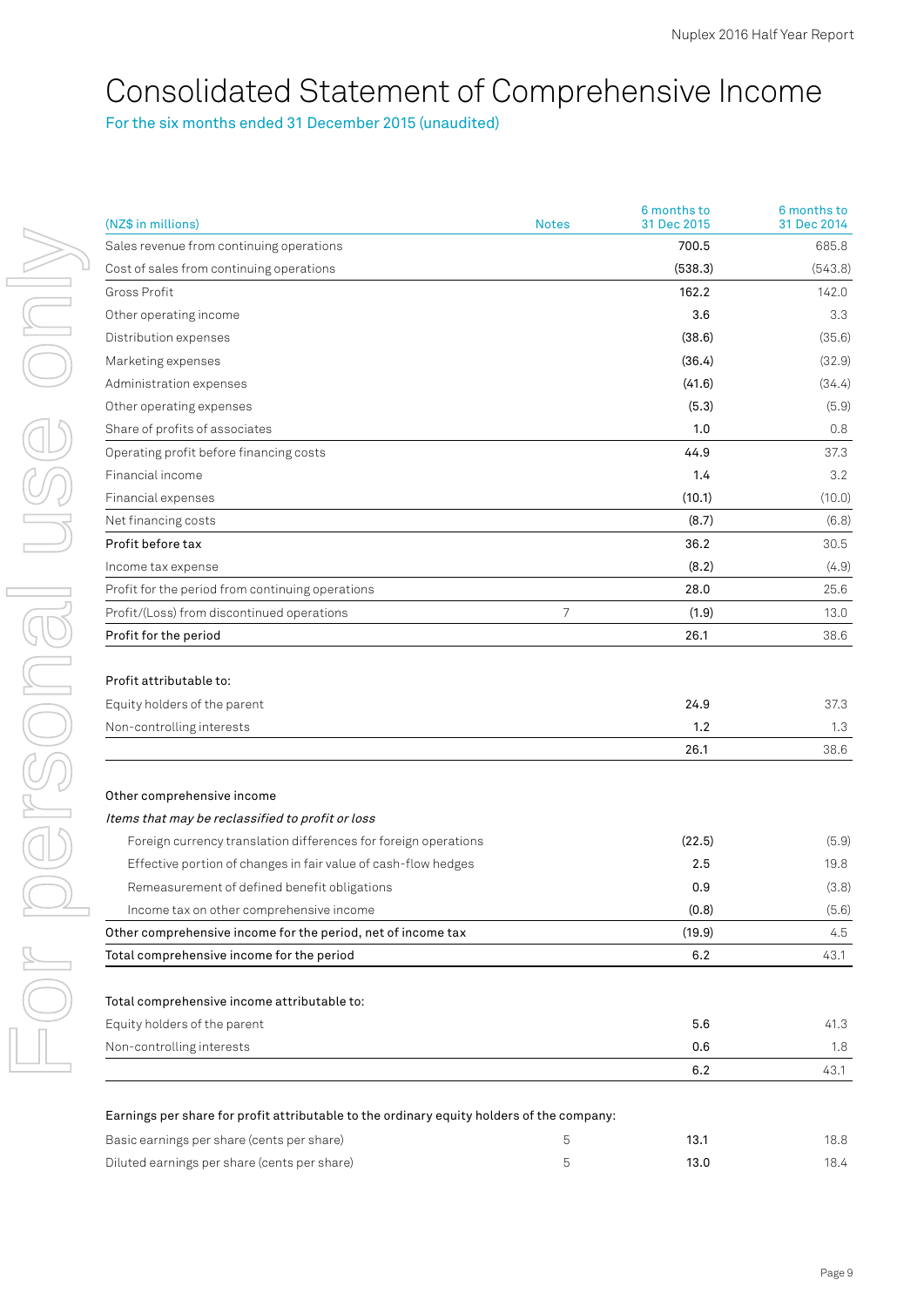# Consolidated Statement of Comprehensive Income

For the six months ended 31 December 2015 (unaudited)

| (NZ\$ in millions)                                                                        | <b>Notes</b> | 6 months to<br>31 Dec 2015 | 6 months to<br>31 Dec 2014 |
|-------------------------------------------------------------------------------------------|--------------|----------------------------|----------------------------|
| Sales revenue from continuing operations                                                  |              | 700.5                      | 685.8                      |
| Cost of sales from continuing operations                                                  |              | (538.3)                    | (543.8)                    |
| Gross Profit                                                                              |              | 162.2                      | 142.0                      |
| Other operating income                                                                    |              | 3.6                        | 3.3                        |
| Distribution expenses                                                                     |              | (38.6)                     | (35.6)                     |
| Marketing expenses                                                                        |              | (36.4)                     | (32.9)                     |
| Administration expenses                                                                   |              | (41.6)                     | (34.4)                     |
| Other operating expenses                                                                  |              | (5.3)                      | (5.9)                      |
| Share of profits of associates                                                            |              | 1.0                        | 0.8                        |
| Operating profit before financing costs                                                   |              | 44.9                       | 37.3                       |
| Financial income                                                                          |              | 1.4                        | 3.2                        |
| Financial expenses                                                                        |              | (10.1)                     | (10.0)                     |
| Net financing costs                                                                       |              | (8.7)                      | (6.8)                      |
| Profit before tax                                                                         |              | 36.2                       | 30.5                       |
| Income tax expense                                                                        |              | (8.2)                      | (4.9)                      |
| Profit for the period from continuing operations                                          |              | 28.0                       | 25.6                       |
| Profit/(Loss) from discontinued operations                                                | 7            | (1.9)                      | 13.0                       |
| Profit for the period                                                                     |              | 26.1                       | 38.6                       |
| Profit attributable to:                                                                   |              |                            |                            |
| Equity holders of the parent                                                              |              | 24.9                       | 37.3                       |
| Non-controlling interests                                                                 |              | 1.2                        | 1.3                        |
|                                                                                           |              | 26.1                       | 38.6                       |
| Other comprehensive income                                                                |              |                            |                            |
| Items that may be reclassified to profit or loss                                          |              |                            |                            |
| Foreign currency translation differences for foreign operations                           |              | (22.5)                     | (5.9)                      |
| Effective portion of changes in fair value of cash-flow hedges                            |              | 2.5                        | 19.8                       |
| Remeasurement of defined benefit obligations                                              |              | 0.9                        | (3.8)                      |
| Income tax on other comprehensive income                                                  |              | (0.8)                      | (5.6)                      |
| Other comprehensive income for the period, net of income tax                              |              | (19.9)                     | 4.5                        |
| Total comprehensive income for the period                                                 |              | 6.2                        | 43.1                       |
| Total comprehensive income attributable to:                                               |              |                            |                            |
| Equity holders of the parent                                                              |              | 5.6                        | 41.3                       |
| Non-controlling interests                                                                 |              | 0.6                        | 1.8                        |
|                                                                                           |              | 6.2                        | 43.1                       |
| Earnings per share for profit attributable to the ordinary equity holders of the company: |              |                            |                            |
| norabora (conto nor abora)                                                                |              | 101                        | 100                        |

| Basic earnings per share (cents per share)   |  |  |
|----------------------------------------------|--|--|
| Diluted earnings per share (cents per share) |  |  |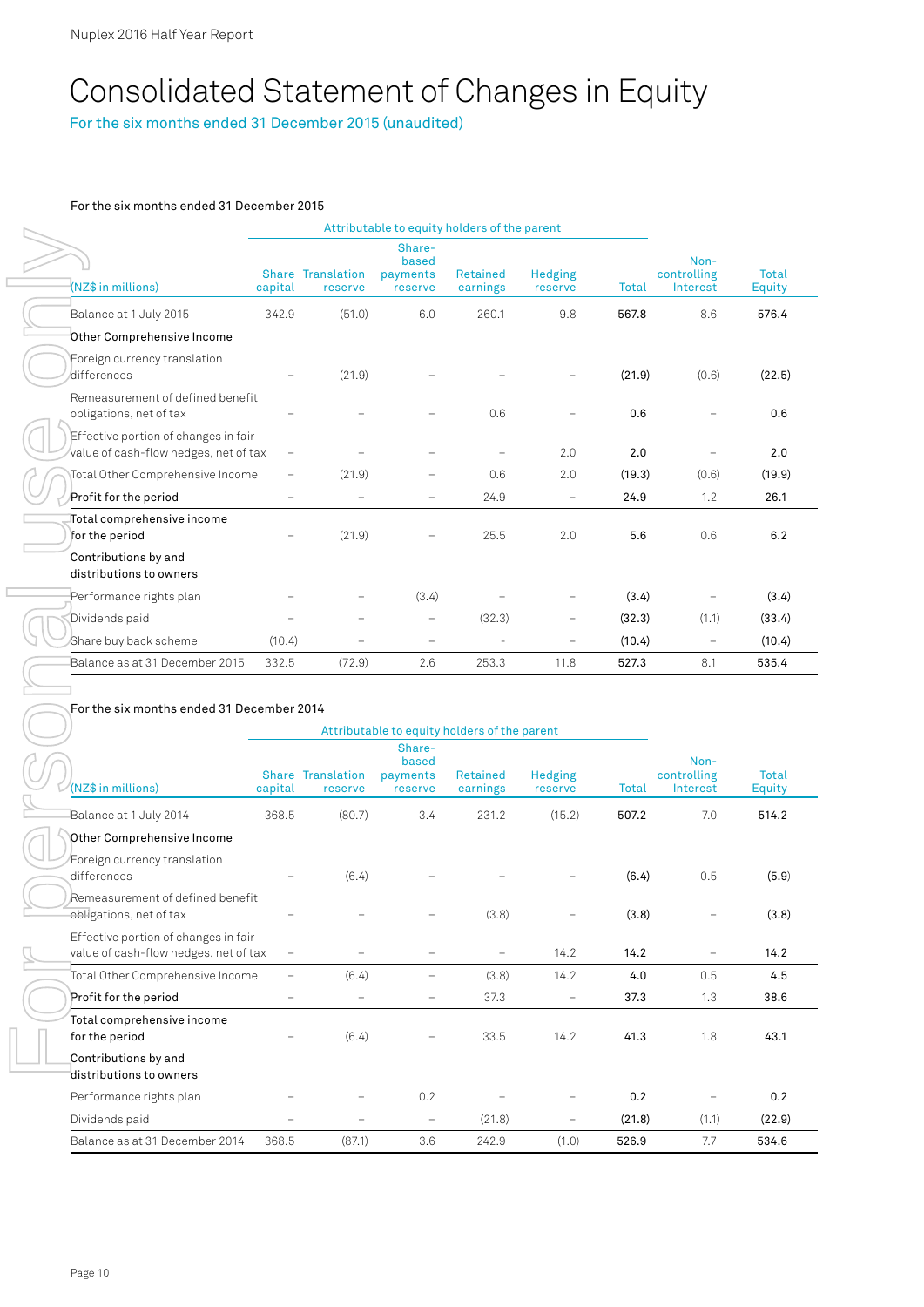# Consolidated Statement of Changes in Equity

For the six months ended 31 December 2015 (unaudited)

#### For the six months ended 31 December 2015

|                                                                               |                          |                                     | Attributable to equity holders of the parent |                             |                           |              |                                 |                 |
|-------------------------------------------------------------------------------|--------------------------|-------------------------------------|----------------------------------------------|-----------------------------|---------------------------|--------------|---------------------------------|-----------------|
| (NZ\$ in millions)                                                            | capital                  | <b>Share Translation</b><br>reserve | Share-<br>based<br>payments<br>reserve       | <b>Retained</b><br>earnings | <b>Hedging</b><br>reserve | <b>Total</b> | Non-<br>controlling<br>Interest | Total<br>Equity |
| Balance at 1 July 2015                                                        | 342.9                    | (51.0)                              | 6.0                                          | 260.1                       | 9.8                       | 567.8        | 8.6                             | 576.4           |
| Other Comprehensive Income                                                    |                          |                                     |                                              |                             |                           |              |                                 |                 |
| Foreign currency translation<br>differences                                   |                          | (21.9)                              |                                              |                             |                           | (21.9)       | (0.6)                           | (22.5)          |
| Remeasurement of defined benefit<br>obligations, net of tax                   |                          |                                     |                                              | 0.6                         |                           | 0.6          |                                 | 0.6             |
| Effective portion of changes in fair<br>value of cash-flow hedges, net of tax | $\overline{\phantom{0}}$ |                                     |                                              |                             | 2.0                       | 2.0          | $\overline{\phantom{0}}$        | 2.0             |
| Total Other Comprehensive Income                                              | $\overline{\phantom{0}}$ | (21.9)                              | $\overline{\phantom{0}}$                     | 0.6                         | 2.0                       | (19.3)       | (0.6)                           | (19.9)          |
| Profit for the period                                                         | -                        |                                     | $\overline{\phantom{0}}$                     | 24.9                        | $\overline{\phantom{0}}$  | 24.9         | 1.2                             | 26.1            |
| Total comprehensive income<br>for the period                                  |                          | (21.9)                              |                                              | 25.5                        | 2.0                       | 5.6          | 0.6                             | 6.2             |
| Contributions by and<br>distributions to owners                               |                          |                                     |                                              |                             |                           |              |                                 |                 |
| Performance rights plan                                                       |                          |                                     | (3.4)                                        |                             |                           | (3.4)        |                                 | (3.4)           |
| Dividends paid                                                                | -                        | $\qquad \qquad -$                   | $\overline{\phantom{m}}$                     | (32.3)                      | -                         | (32.3)       | (1.1)                           | (33.4)          |
| Share buy back scheme                                                         | (10.4)                   |                                     | $\overline{\phantom{0}}$                     |                             | ۳                         | (10.4)       | $\overline{\phantom{m}}$        | (10.4)          |
| Balance as at 31 December 2015                                                | 332.5                    | (72.9)                              | 2.6                                          | 253.3                       | 11.8                      | 527.3        | 8.1                             | 535.4           |

#### For the six months ended 31 December 2014

|                                                                               |                          |                                     |                                        | Attributable to equity holders of the parent |                          |        |                                 |                 |
|-------------------------------------------------------------------------------|--------------------------|-------------------------------------|----------------------------------------|----------------------------------------------|--------------------------|--------|---------------------------------|-----------------|
| (NZ\$ in millions)                                                            | capital                  | <b>Share Translation</b><br>reserve | Share-<br>based<br>payments<br>reserve | <b>Retained</b><br>earnings                  | Hedging<br>reserve       | Total  | Non-<br>controlling<br>Interest | Total<br>Equity |
| Balance at 1 July 2014                                                        | 368.5                    | (80.7)                              | 3.4                                    | 231.2                                        | (15.2)                   | 507.2  | 7.0                             | 514.2           |
| Other Comprehensive Income                                                    |                          |                                     |                                        |                                              |                          |        |                                 |                 |
| Foreign currency translation<br>differences                                   | $\overline{\phantom{0}}$ | (6.4)                               |                                        |                                              |                          | (6.4)  | 0.5                             | (5.9)           |
| Remeasurement of defined benefit<br>obligations, net of tax                   |                          |                                     |                                        | (3.8)                                        |                          | (3.8)  |                                 | (3.8)           |
| Effective portion of changes in fair<br>value of cash-flow hedges, net of tax | $\overline{\phantom{m}}$ |                                     |                                        |                                              | 14.2                     | 14.2   | -                               | 14.2            |
| Total Other Comprehensive Income                                              | -                        | (6.4)                               |                                        | (3.8)                                        | 14.2                     | 4.0    | 0.5                             | 4.5             |
| Profit for the period                                                         | -                        | ÷,                                  |                                        | 37.3                                         | $\overline{\phantom{0}}$ | 37.3   | 1.3                             | 38.6            |
| Total comprehensive income<br>for the period                                  |                          | (6.4)                               |                                        | 33.5                                         | 14.2                     | 41.3   | 1.8                             | 43.1            |
| Contributions by and<br>distributions to owners                               |                          |                                     |                                        |                                              |                          |        |                                 |                 |
| Performance rights plan                                                       |                          |                                     | 0.2                                    |                                              | $\overline{\phantom{0}}$ | 0.2    | $\overline{\phantom{0}}$        | 0.2             |
| Dividends paid                                                                |                          | $\overline{\phantom{0}}$            | -                                      | (21.8)                                       | $\overline{\phantom{m}}$ | (21.8) | (1.1)                           | (22.9)          |
| Balance as at 31 December 2014                                                | 368.5                    | (87.1)                              | 3.6                                    | 242.9                                        | (1.0)                    | 526.9  | 7.7                             | 534.6           |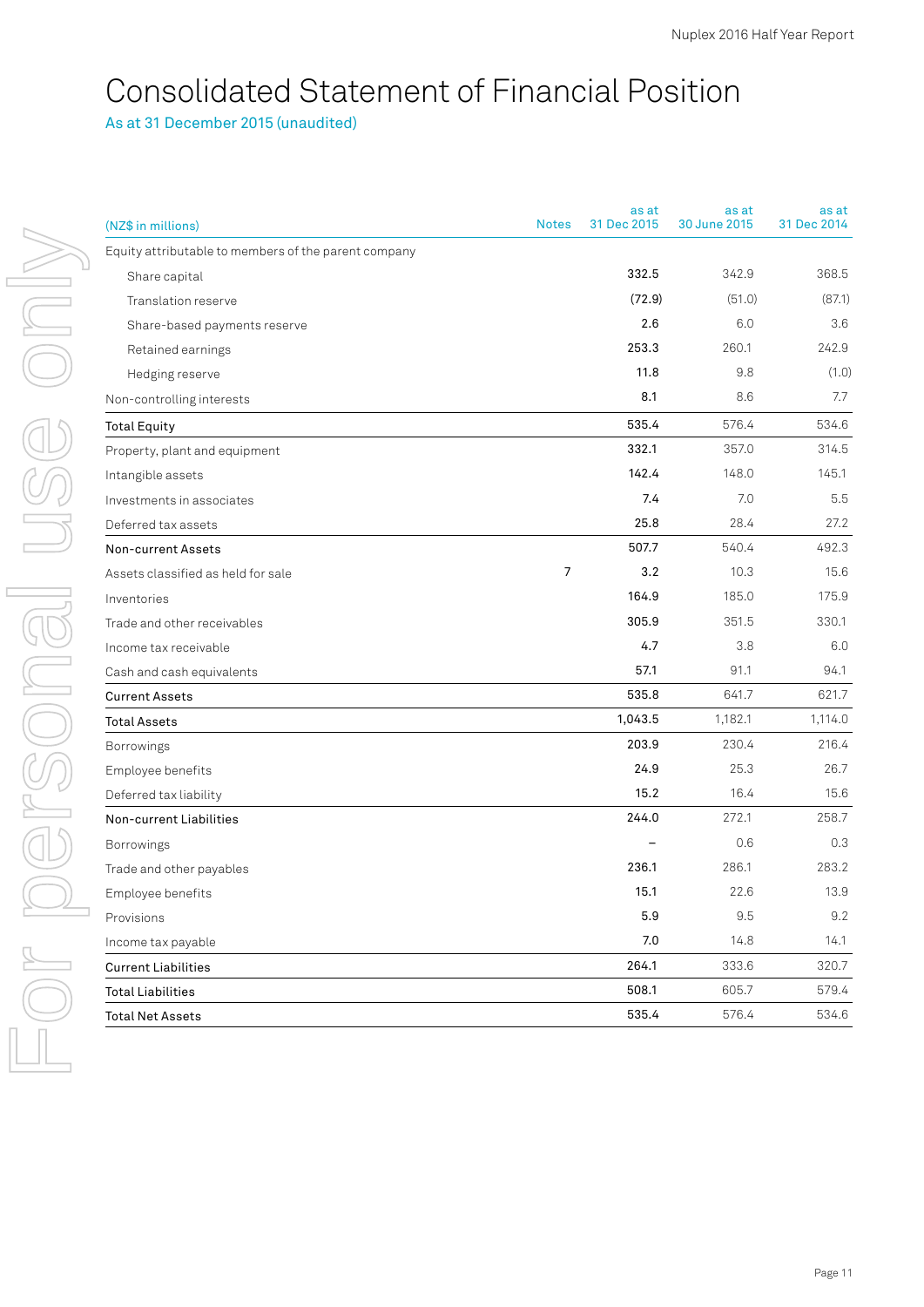# Consolidated Statement of Financial Position

As at 31 December 2015 (unaudited)

| (NZ\$ in millions)                                   | <b>Notes</b>   | as at<br>31 Dec 2015 | as at<br>30 June 2015 | as at<br>31 Dec 2014 |
|------------------------------------------------------|----------------|----------------------|-----------------------|----------------------|
| Equity attributable to members of the parent company |                |                      |                       |                      |
| Share capital                                        |                | 332.5                | 342.9                 | 368.5                |
| Translation reserve                                  |                | (72.9)               | (51.0)                | (87.1)               |
| Share-based payments reserve                         |                | 2.6                  | 6.0                   | 3.6                  |
| Retained earnings                                    |                | 253.3                | 260.1                 | 242.9                |
| Hedging reserve                                      |                | 11.8                 | 9.8                   | (1.0)                |
| Non-controlling interests                            |                | 8.1                  | 8.6                   | 7.7                  |
| <b>Total Equity</b>                                  |                | 535.4                | 576.4                 | 534.6                |
| Property, plant and equipment                        |                | 332.1                | 357.0                 | 314.5                |
| Intangible assets                                    |                | 142.4                | 148.0                 | 145.1                |
| Investments in associates                            |                | 7.4                  | 7.0                   | 5.5                  |
| Deferred tax assets                                  |                | 25.8                 | 28.4                  | 27.2                 |
| Non-current Assets                                   |                | 507.7                | 540.4                 | 492.3                |
| Assets classified as held for sale                   | $\overline{7}$ | 3.2                  | 10.3                  | 15.6                 |
| Inventories                                          |                | 164.9                | 185.0                 | 175.9                |
| Trade and other receivables                          |                | 305.9                | 351.5                 | 330.1                |
| Income tax receivable                                |                | 4.7                  | 3.8                   | 6.0                  |
| Cash and cash equivalents                            |                | 57.1                 | 91.1                  | 94.1                 |
| <b>Current Assets</b>                                |                | 535.8                | 641.7                 | 621.7                |
| <b>Total Assets</b>                                  |                | 1,043.5              | 1,182.1               | 1,114.0              |
| Borrowings                                           |                | 203.9                | 230.4                 | 216.4                |
| Employee benefits                                    |                | 24.9                 | 25.3                  | 26.7                 |
| Deferred tax liability                               |                | 15.2                 | 16.4                  | 15.6                 |
| Non-current Liabilities                              |                | 244.0                | 272.1                 | 258.7                |
| Borrowings                                           |                |                      | 0.6                   | 0.3                  |
| Trade and other payables                             |                | 236.1                | 286.1                 | 283.2                |
| Employee benefits                                    |                | 15.1                 | 22.6                  | 13.9                 |
| Provisions                                           |                | $5.9\,$              | $9.5\,$               | 9.2                  |
| Income tax payable                                   |                | $7.0\,$              | 14.8                  | 14.1                 |
| <b>Current Liabilities</b>                           |                | 264.1                | 333.6                 | 320.7                |
| <b>Total Liabilities</b>                             |                | 508.1                | 605.7                 | 579.4                |
| <b>Total Net Assets</b>                              |                | 535.4                | 576.4                 | 534.6                |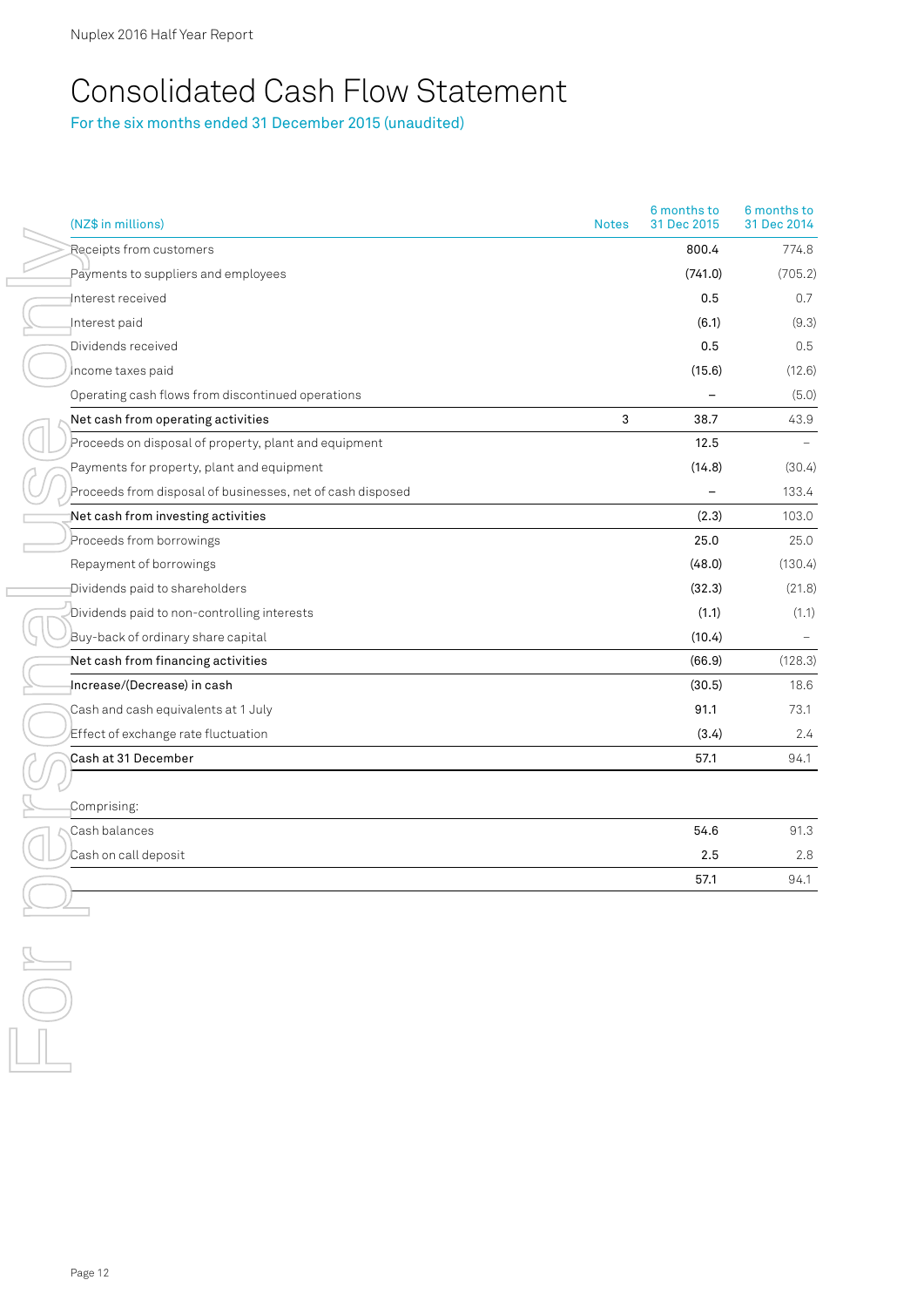# Consolidated Cash Flow Statement

For the six months ended 31 December 2015 (unaudited)

| (NZ\$ in millions)                                         | <b>Notes</b> | 6 months to<br>31 Dec 2015 | 6 months to<br>31 Dec 2014 |
|------------------------------------------------------------|--------------|----------------------------|----------------------------|
| Receipts from customers                                    |              | 800.4                      | 774.8                      |
| Payments to suppliers and employees                        |              | (741.0)                    | (705.2)                    |
| Interest received                                          |              | 0.5                        | 0.7                        |
| Interest paid                                              |              | (6.1)                      | (9.3)                      |
| Dividends received                                         |              | 0.5                        | 0.5                        |
| Income taxes paid                                          |              | (15.6)                     | (12.6)                     |
| Operating cash flows from discontinued operations          |              |                            | (5.0)                      |
| Net cash from operating activities                         | 3            | 38.7                       | 43.9                       |
| Proceeds on disposal of property, plant and equipment      |              | 12.5                       |                            |
| Payments for property, plant and equipment                 |              | (14.8)                     | (30.4)                     |
| Proceeds from disposal of businesses, net of cash disposed |              |                            | 133.4                      |
| Net cash from investing activities                         |              | (2.3)                      | 103.0                      |
| Proceeds from borrowings                                   |              | 25.0                       | 25.0                       |
| Repayment of borrowings                                    |              | (48.0)                     | (130.4)                    |
| Dividends paid to shareholders                             |              | (32.3)                     | (21.8)                     |
| Dividends paid to non-controlling interests                |              | (1.1)                      | (1.1)                      |
| Buy-back of ordinary share capital                         |              | (10.4)                     |                            |
| Net cash from financing activities                         |              | (66.9)                     | (128.3)                    |
| Increase/(Decrease) in cash                                |              | (30.5)                     | 18.6                       |
| Cash and cash equivalents at 1 July                        |              | 91.1                       | 73.1                       |
| Effect of exchange rate fluctuation                        |              | (3.4)                      | 2.4                        |
| Cash at 31 December                                        |              | 57.1                       | 94.1                       |
|                                                            |              |                            |                            |
| Comprising:                                                |              |                            |                            |
| Cash balances                                              |              | 54.6                       | 91.3                       |
| Cash on call deposit                                       |              | 2.5                        | 2.8                        |
|                                                            |              | 57.1                       | 94.1                       |
|                                                            |              |                            |                            |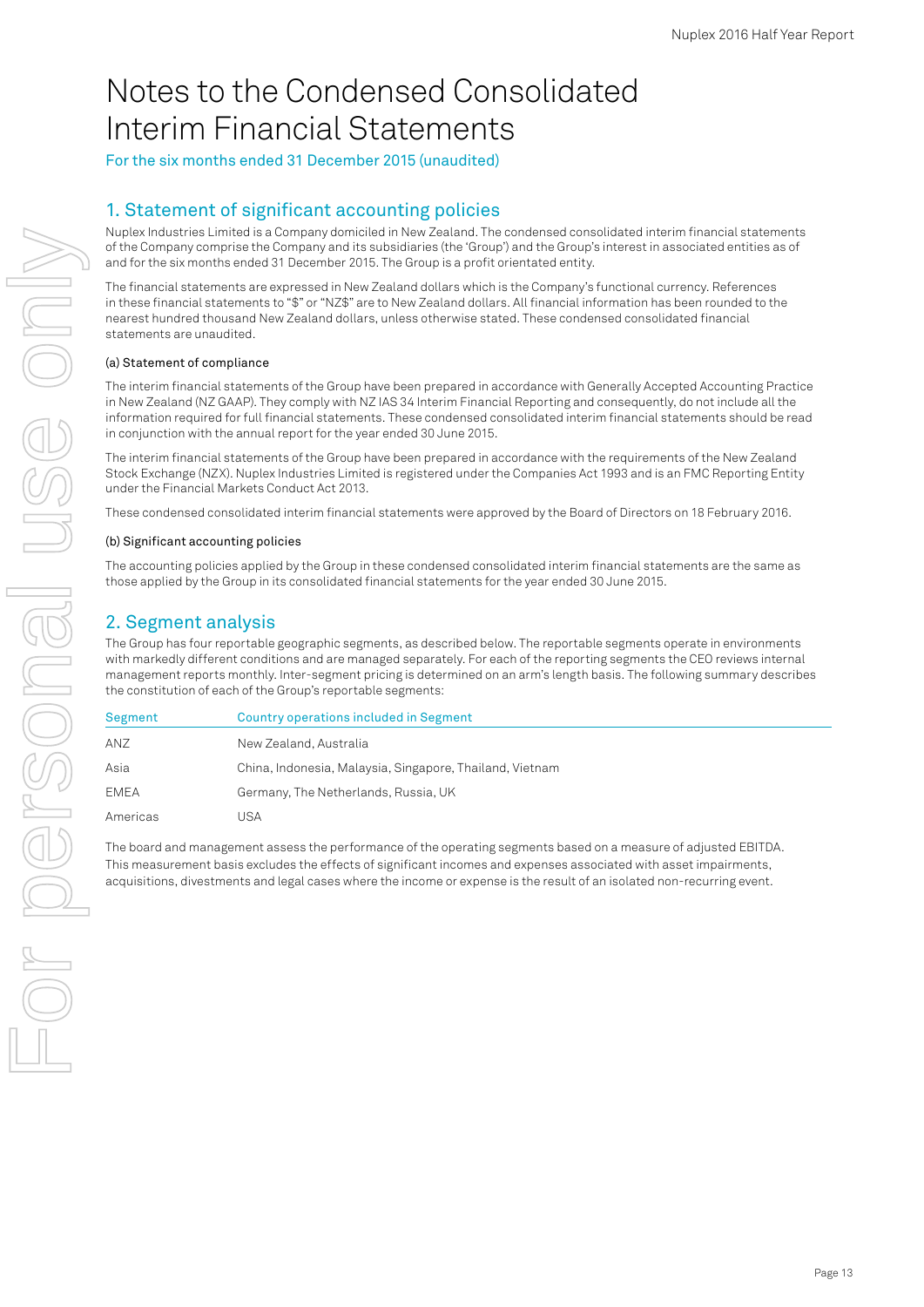# Notes to the Condensed Consolidated Interim Financial Statements

For the six months ended 31 December 2015 (unaudited)

# 1. Statement of significant accounting policies

Nuplex Industries Limited is a Company domiciled in New Zealand. The condensed consolidated interim financial statements of the Company comprise the Company and its subsidiaries (the 'Group') and the Group's interest in associated entities as of and for the six months ended 31 December 2015. The Group is a profit orientated entity.

The financial statements are expressed in New Zealand dollars which is the Company's functional currency. References in these financial statements to "\$" or "NZ\$" are to New Zealand dollars. All financial information has been rounded to the nearest hundred thousand New Zealand dollars, unless otherwise stated. These condensed consolidated financial statements are unaudited.

#### (a) Statement of compliance

The interim financial statements of the Group have been prepared in accordance with Generally Accepted Accounting Practice in New Zealand (NZ GAAP). They comply with NZ IAS 34 Interim Financial Reporting and consequently, do not include all the information required for full financial statements. These condensed consolidated interim financial statements should be read in conjunction with the annual report for the year ended 30 June 2015.

The interim financial statements of the Group have been prepared in accordance with the requirements of the New Zealand Stock Exchange (NZX). Nuplex Industries Limited is registered under the Companies Act 1993 and is an FMC Reporting Entity under the Financial Markets Conduct Act 2013.

These condensed consolidated interim financial statements were approved by the Board of Directors on 18 February 2016.

#### (b) Significant accounting policies

The accounting policies applied by the Group in these condensed consolidated interim financial statements are the same as those applied by the Group in its consolidated financial statements for the year ended 30 June 2015.

## 2. Segment analysis

The Group has four reportable geographic segments, as described below. The reportable segments operate in environments with markedly different conditions and are managed separately. For each of the reporting segments the CEO reviews internal management reports monthly. Inter-segment pricing is determined on an arm's length basis. The following summary describes the constitution of each of the Group's reportable segments:

| Segment     | Country operations included in Segment                   |
|-------------|----------------------------------------------------------|
| ANZ         | New Zealand, Australia                                   |
| Asia        | China, Indonesia, Malaysia, Singapore, Thailand, Vietnam |
| <b>EMEA</b> | Germany, The Netherlands, Russia, UK                     |
| Americas    | JSA                                                      |

The board and management assess the performance of the operating segments based on a measure of adjusted EBITDA. This measurement basis excludes the effects of significant incomes and expenses associated with asset impairments, acquisitions, divestments and legal cases where the income or expense is the result of an isolated non-recurring event.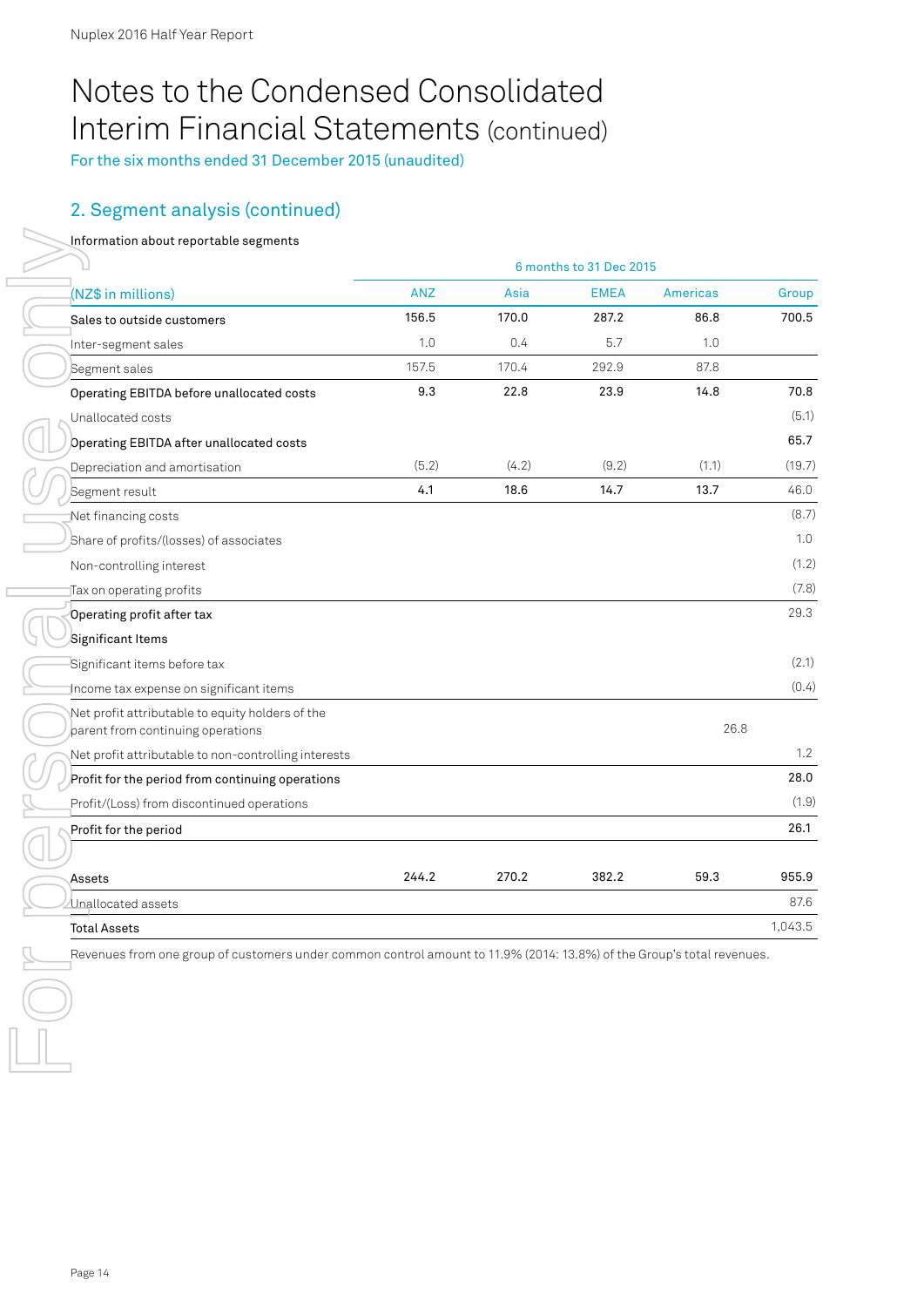# Notes to the Condensed Consolidated Interim Financial Statements (continued)

For the six months ended 31 December 2015 (unaudited)

# 2. Segment analysis (continued)

#### Information about reportable segments

|                                                                                       | 6 months to 31 Dec 2015 |       |             |                 |         |
|---------------------------------------------------------------------------------------|-------------------------|-------|-------------|-----------------|---------|
| (NZ\$ in millions)                                                                    | <b>ANZ</b>              | Asia  | <b>EMEA</b> | <b>Americas</b> | Group   |
| Sales to outside customers                                                            | 156.5                   | 170.0 | 287.2       | 86.8            | 700.5   |
| Inter-segment sales                                                                   | 1.0                     | 0.4   | 5.7         | 1.0             |         |
| Segment sales                                                                         | 157.5                   | 170.4 | 292.9       | 87.8            |         |
| Operating EBITDA before unallocated costs                                             | 9.3                     | 22.8  | 23.9        | 14.8            | 70.8    |
| Unallocated costs                                                                     |                         |       |             |                 | (5.1)   |
| Operating EBITDA after unallocated costs                                              |                         |       |             |                 | 65.7    |
| Depreciation and amortisation                                                         | (5.2)                   | (4.2) | (9.2)       | (1.1)           | (19.7)  |
| Segment result                                                                        | 4.1                     | 18.6  | 14.7        | 13.7            | 46.0    |
| Net financing costs                                                                   |                         |       |             |                 | (8.7)   |
| Share of profits/(losses) of associates                                               |                         |       |             |                 | 1.0     |
| Non-controlling interest                                                              |                         |       |             |                 | (1.2)   |
| Tax on operating profits                                                              |                         |       |             |                 | (7.8)   |
| Operating profit after tax                                                            |                         |       |             |                 | 29.3    |
| Significant Items                                                                     |                         |       |             |                 |         |
| Significant items before tax                                                          |                         |       |             |                 | (2.1)   |
| Income tax expense on significant items                                               |                         |       |             |                 | (0.4)   |
| Net profit attributable to equity holders of the<br>parent from continuing operations |                         |       |             | 26.8            |         |
| Net profit attributable to non-controlling interests                                  |                         |       |             |                 | 1.2     |
| Profit for the period from continuing operations                                      |                         |       |             |                 | 28.0    |
| Profit/(Loss) from discontinued operations                                            |                         |       |             |                 | (1.9)   |
| Profit for the period                                                                 |                         |       |             |                 | 26.1    |
|                                                                                       |                         |       |             |                 |         |
| Assets                                                                                | 244.2                   | 270.2 | 382.2       | 59.3            | 955.9   |
| Unallocated assets                                                                    |                         |       |             |                 | 87.6    |
| <b>Total Assets</b>                                                                   |                         |       |             |                 | 1,043.5 |

Revenues from one group of customers under common control amount to 11.9% (2014: 13.8%) of the Group's total revenues.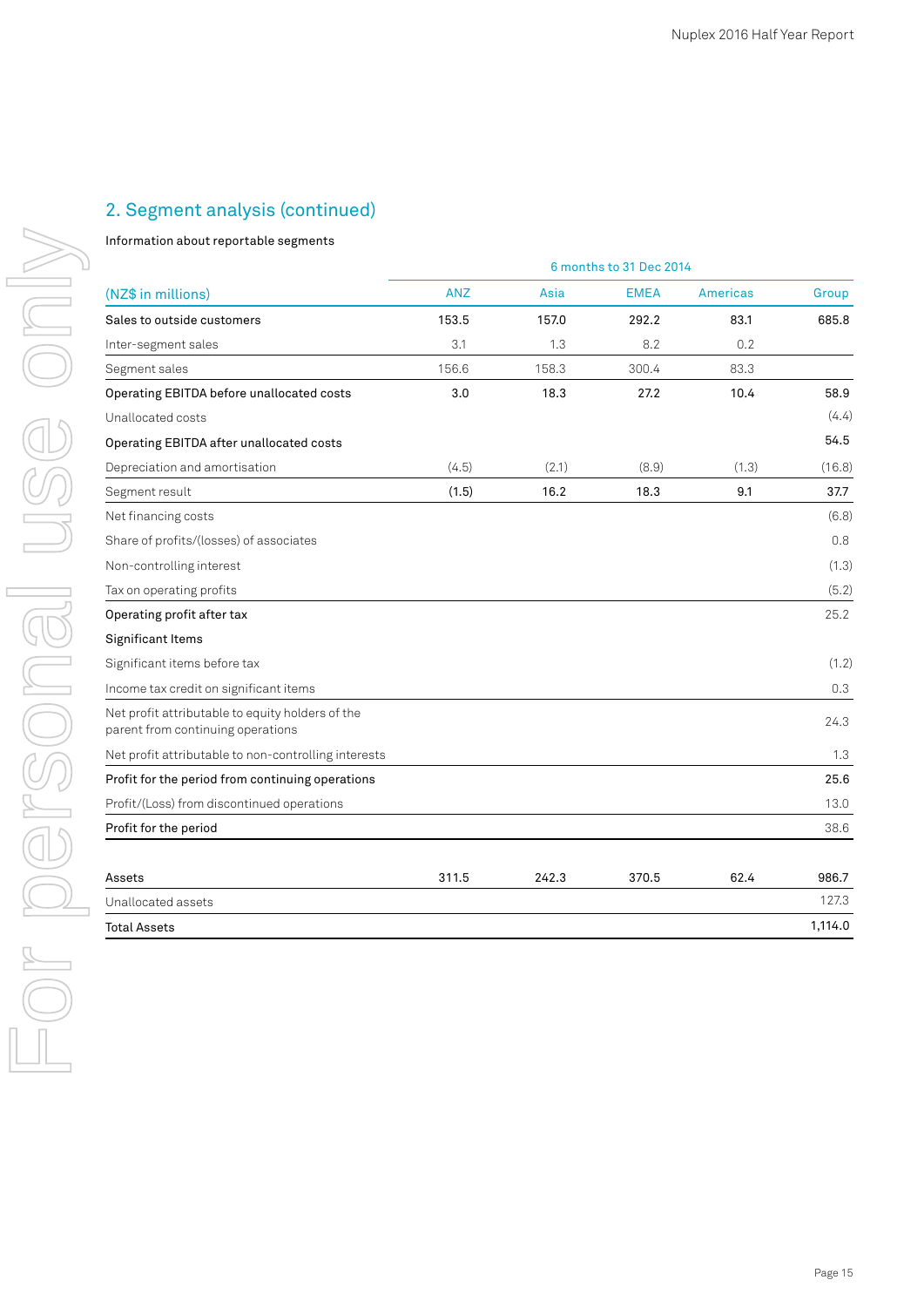# 2. Segment analysis (continued)

#### Information about reportable segments

|                                                                                       | 6 months to 31 Dec 2014 |       |             |                 |         |  |  |
|---------------------------------------------------------------------------------------|-------------------------|-------|-------------|-----------------|---------|--|--|
| (NZ\$ in millions)                                                                    | <b>ANZ</b>              | Asia  | <b>EMEA</b> | <b>Americas</b> | Group   |  |  |
| Sales to outside customers                                                            | 153.5                   | 157.0 | 292.2       | 83.1            | 685.8   |  |  |
| Inter-segment sales                                                                   | 3.1                     | 1.3   | 8.2         | 0.2             |         |  |  |
| Segment sales                                                                         | 156.6                   | 158.3 | 300.4       | 83.3            |         |  |  |
| Operating EBITDA before unallocated costs                                             | 3.0                     | 18.3  | 27.2        | 10.4            | 58.9    |  |  |
| Unallocated costs                                                                     |                         |       |             |                 | (4.4)   |  |  |
| Operating EBITDA after unallocated costs                                              |                         |       |             |                 | 54.5    |  |  |
| Depreciation and amortisation                                                         | (4.5)                   | (2.1) | (8.9)       | (1.3)           | (16.8)  |  |  |
| Segment result                                                                        | (1.5)                   | 16.2  | 18.3        | 9.1             | 37.7    |  |  |
| Net financing costs                                                                   |                         |       |             |                 | (6.8)   |  |  |
| Share of profits/(losses) of associates                                               |                         |       |             |                 | 0.8     |  |  |
| Non-controlling interest                                                              |                         |       |             |                 | (1.3)   |  |  |
| Tax on operating profits                                                              |                         |       |             |                 | (5.2)   |  |  |
| Operating profit after tax                                                            |                         |       |             |                 | 25.2    |  |  |
| Significant Items                                                                     |                         |       |             |                 |         |  |  |
| Significant items before tax                                                          |                         |       |             |                 | (1.2)   |  |  |
| Income tax credit on significant items                                                |                         |       |             |                 | 0.3     |  |  |
| Net profit attributable to equity holders of the<br>parent from continuing operations |                         |       |             |                 | 24.3    |  |  |
| Net profit attributable to non-controlling interests                                  |                         |       |             |                 | 1.3     |  |  |
| Profit for the period from continuing operations                                      |                         |       |             |                 | 25.6    |  |  |
| Profit/(Loss) from discontinued operations                                            |                         |       |             |                 | 13.0    |  |  |
| Profit for the period                                                                 |                         |       |             |                 | 38.6    |  |  |
| Assets                                                                                | 311.5                   | 242.3 | 370.5       | 62.4            | 986.7   |  |  |
| Unallocated assets                                                                    |                         |       |             |                 | 127.3   |  |  |
| <b>Total Assets</b>                                                                   |                         |       |             |                 | 1,114.0 |  |  |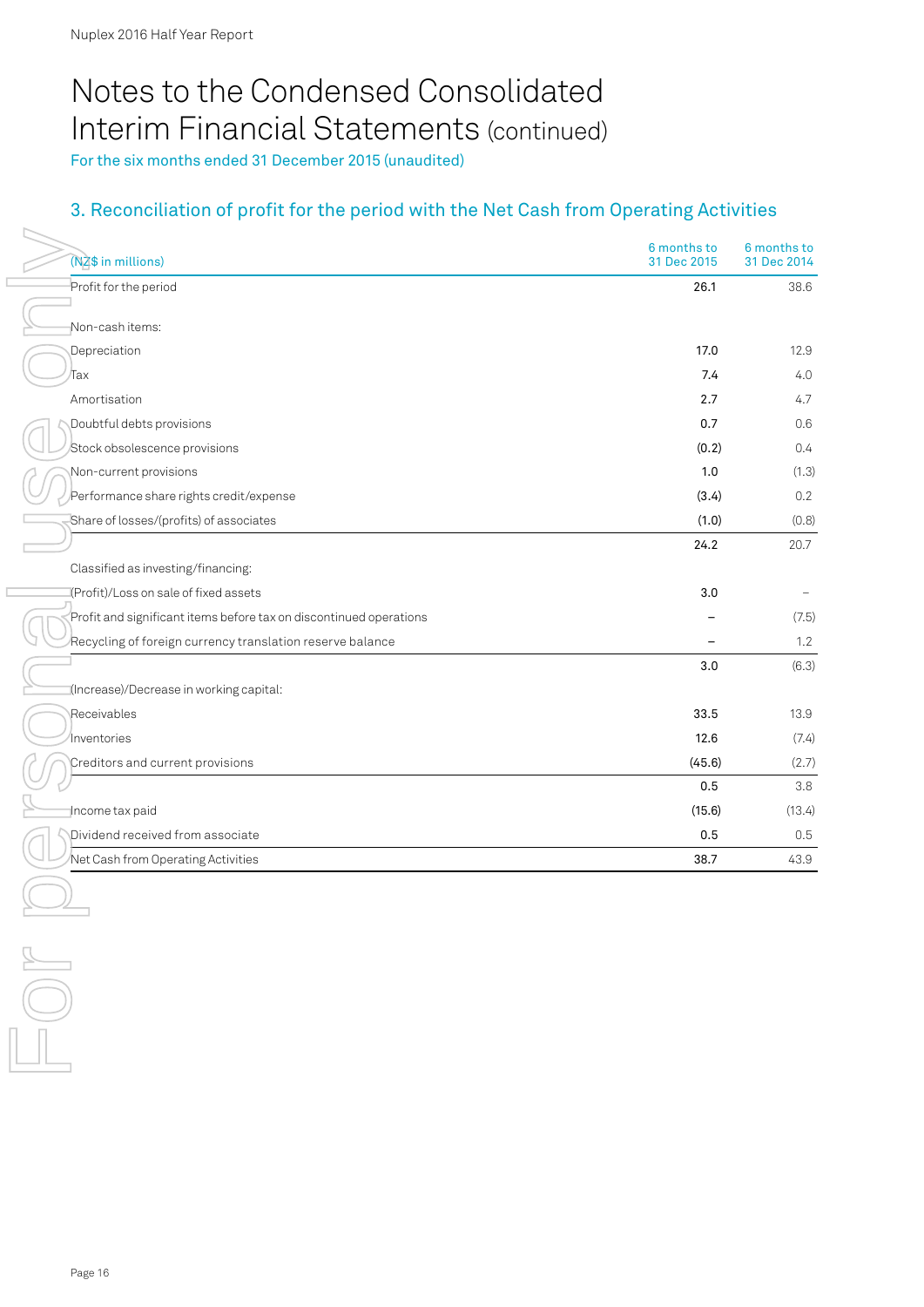# Notes to the Condensed Consolidated Interim Financial Statements (continued)

For the six months ended 31 December 2015 (unaudited)

# 3. Reconciliation of profit for the period with the Net Cash from Operating Activities

| (NZ\$ in millions)                                                 | 6 months to<br>31 Dec 2015 | 6 months to<br>31 Dec 2014 |
|--------------------------------------------------------------------|----------------------------|----------------------------|
| Profit for the period                                              | 26.1                       | 38.6                       |
|                                                                    |                            |                            |
| Non-cashitems:                                                     |                            |                            |
| Depreciation                                                       | 17.0                       | 12.9                       |
| ⁄Тах                                                               | 7.4                        | 4.0                        |
| Amortisation                                                       | 2.7                        | 4.7                        |
| Doubtful debts provisions                                          | 0.7                        | 0.6                        |
| Stock obsolescence provisions                                      | (0.2)                      | 0.4                        |
| Non-current provisions                                             | 1.0                        | (1.3)                      |
| Performance share rights credit/expense                            | (3.4)                      | 0.2                        |
| Share of losses/(profits) of associates                            | (1.0)                      | (0.8)                      |
|                                                                    | 24.2                       | 20.7                       |
| Classified as investing/financing:                                 |                            |                            |
| (Profit)/Loss on sale of fixed assets                              | 3.0                        | $\overline{\phantom{m}}$   |
| Profit and significant items before tax on discontinued operations |                            | (7.5)                      |
| Recycling of foreign currency translation reserve balance          |                            | 1.2                        |
|                                                                    | 3.0                        | (6.3)                      |
| (Increase)/Decrease in working capital:                            |                            |                            |
| Receivables                                                        | 33.5                       | 13.9                       |
| Inventories                                                        | 12.6                       | (7.4)                      |
| Creditors and current provisions                                   | (45.6)                     | (2.7)                      |
|                                                                    | 0.5                        | $3.8\,$                    |
| Income tax paid                                                    | (15.6)                     | (13.4)                     |
| Dividend received from associate                                   | 0.5                        | 0.5                        |
| Net Cash from Operating Activities                                 | 38.7                       | 43.9                       |
|                                                                    |                            |                            |
| Page 16                                                            |                            |                            |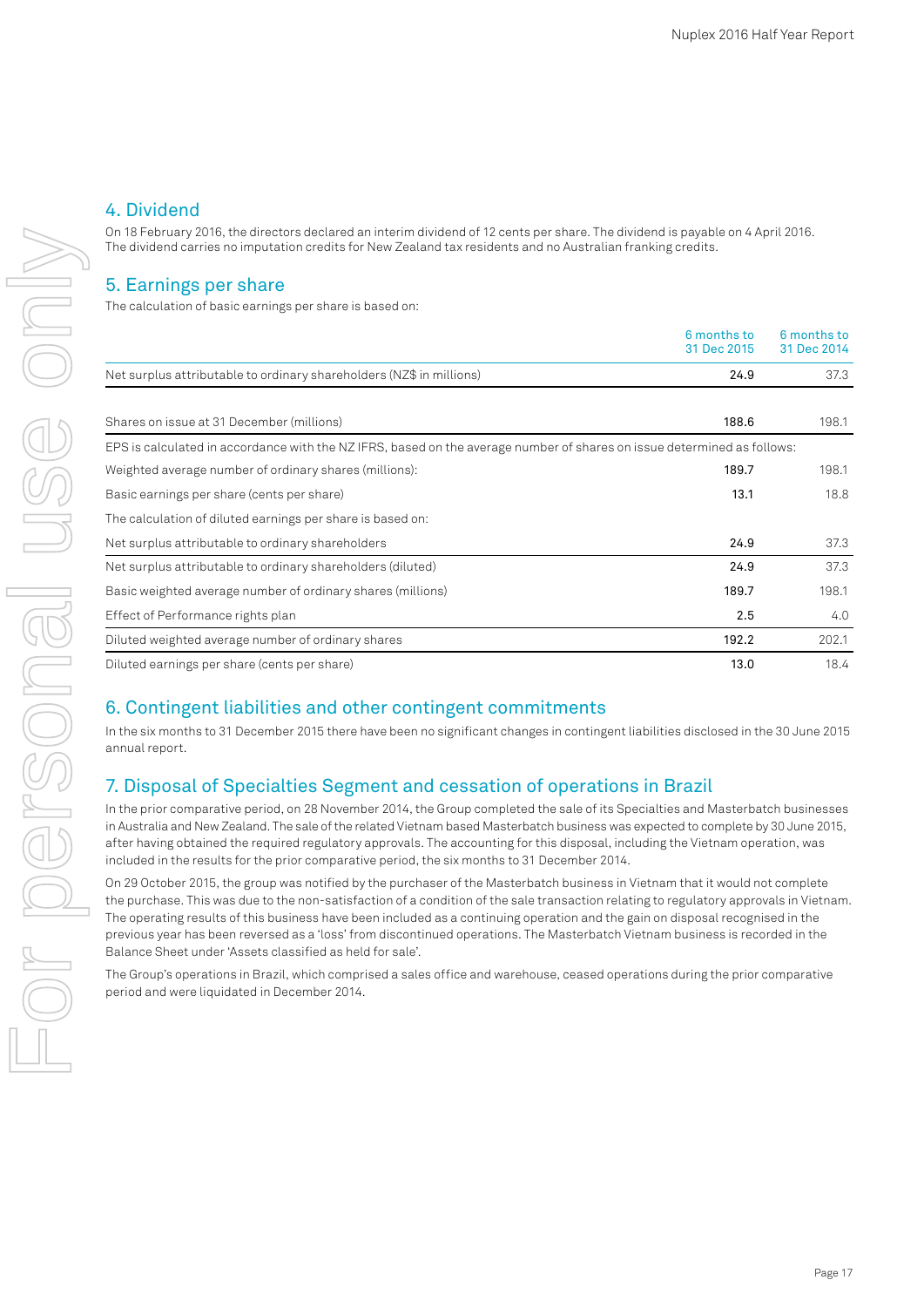# 4. Dividend

On 18 February 2016, the directors declared an interim dividend of 12 cents per share. The dividend is payable on 4 April 2016. The dividend carries no imputation credits for New Zealand tax residents and no Australian franking credits.

# 5. Earnings per share

The calculation of basic earnings per share is based on:

|                                                                                                                         | 6 months to<br>31 Dec 2015 | 6 months to<br>31 Dec 2014 |
|-------------------------------------------------------------------------------------------------------------------------|----------------------------|----------------------------|
| Net surplus attributable to ordinary shareholders (NZ\$ in millions)                                                    | 24.9                       | 37.3                       |
|                                                                                                                         |                            |                            |
| Shares on issue at 31 December (millions)                                                                               | 188.6                      | 198.1                      |
| EPS is calculated in accordance with the NZ IFRS, based on the average number of shares on issue determined as follows: |                            |                            |
| Weighted average number of ordinary shares (millions):                                                                  | 189.7                      | 198.1                      |
| Basic earnings per share (cents per share)                                                                              | 13.1                       | 18.8                       |
| The calculation of diluted earnings per share is based on:                                                              |                            |                            |
| Net surplus attributable to ordinary shareholders                                                                       | 24.9                       | 37.3                       |
| Net surplus attributable to ordinary shareholders (diluted)                                                             | 24.9                       | 37.3                       |
| Basic weighted average number of ordinary shares (millions)                                                             | 189.7                      | 198.1                      |
| Effect of Performance rights plan                                                                                       | 2.5                        | 4.0                        |
| Diluted weighted average number of ordinary shares                                                                      | 192.2                      | 202.1                      |
| Diluted earnings per share (cents per share)                                                                            | 13.0                       | 18.4                       |

# 6. Contingent liabilities and other contingent commitments

In the six months to 31 December 2015 there have been no significant changes in contingent liabilities disclosed in the 30 June 2015 annual report.

# 7. Disposal of Specialties Segment and cessation of operations in Brazil

In the prior comparative period, on 28 November 2014, the Group completed the sale of its Specialties and Masterbatch businesses in Australia and New Zealand. The sale of the related Vietnam based Masterbatch business was expected to complete by 30 June 2015, after having obtained the required regulatory approvals. The accounting for this disposal, including the Vietnam operation, was included in the results for the prior comparative period, the six months to 31 December 2014.

On 29 October 2015, the group was notified by the purchaser of the Masterbatch business in Vietnam that it would not complete the purchase. This was due to the non-satisfaction of a condition of the sale transaction relating to regulatory approvals in Vietnam. The operating results of this business have been included as a continuing operation and the gain on disposal recognised in the previous year has been reversed as a 'loss' from discontinued operations. The Masterbatch Vietnam business is recorded in the Balance Sheet under 'Assets classified as held for sale'.

The Group's operations in Brazil, which comprised a sales office and warehouse, ceased operations during the prior comparative period and were liquidated in December 2014.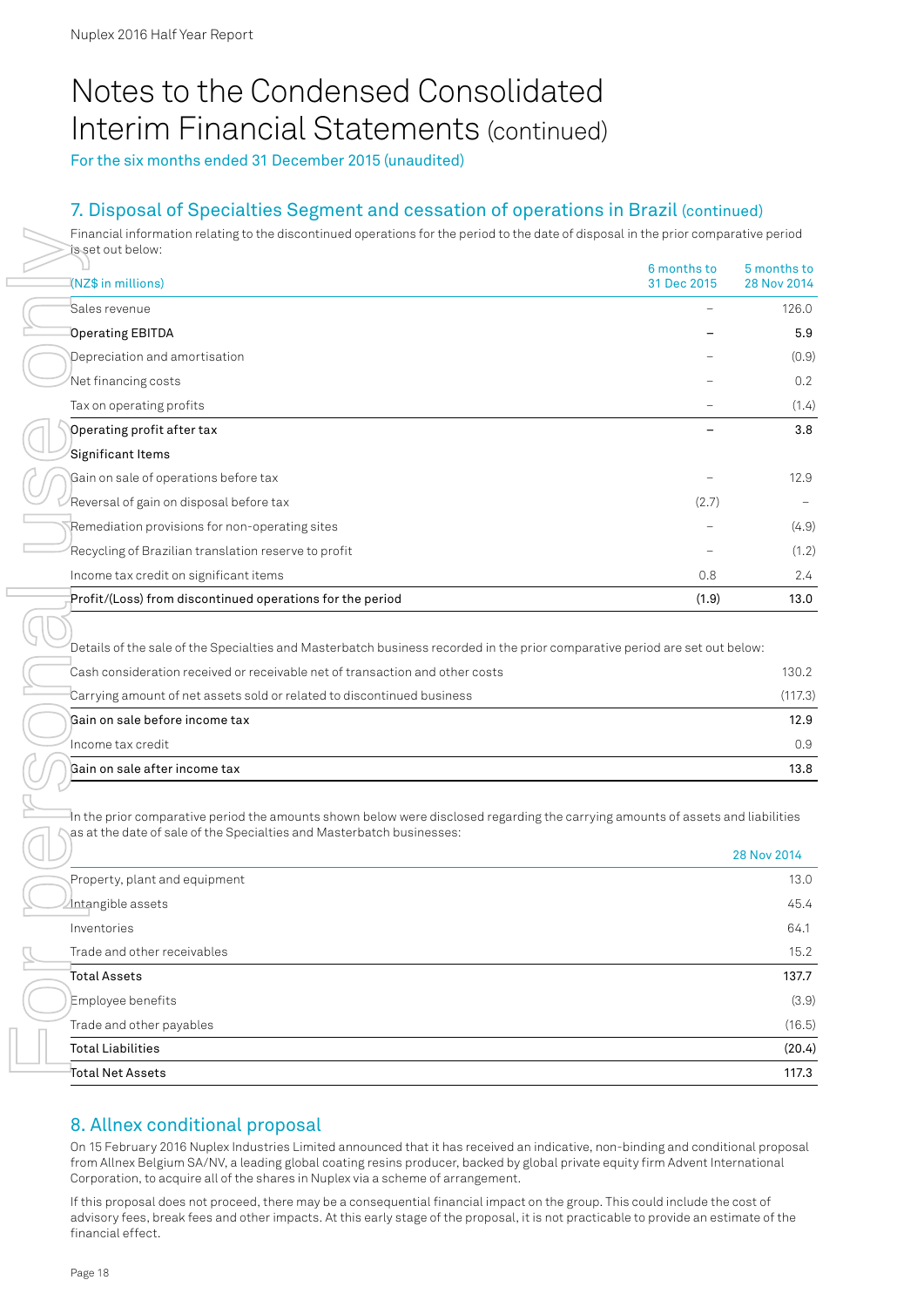# Notes to the Condensed Consolidated Interim Financial Statements (continued)

For the six months ended 31 December 2015 (unaudited)

# 7. Disposal of Specialties Segment and cessation of operations in Brazil (continued)

Financial information relating to the discontinued operations for the period to the date of disposal in the prior comparative period is set out below:

| is set out below:                                                                                                                                                                                                                                                                                                                                                                                                                                                                                                                                                                                                                                                                       | 6 months to | 5 months to      |
|-----------------------------------------------------------------------------------------------------------------------------------------------------------------------------------------------------------------------------------------------------------------------------------------------------------------------------------------------------------------------------------------------------------------------------------------------------------------------------------------------------------------------------------------------------------------------------------------------------------------------------------------------------------------------------------------|-------------|------------------|
| (NZ\$ in millions)                                                                                                                                                                                                                                                                                                                                                                                                                                                                                                                                                                                                                                                                      | 31 Dec 2015 | 28 Nov 2014      |
| Sales revenue                                                                                                                                                                                                                                                                                                                                                                                                                                                                                                                                                                                                                                                                           |             | 126.0            |
| <b>Operating EBITDA</b>                                                                                                                                                                                                                                                                                                                                                                                                                                                                                                                                                                                                                                                                 |             | 5.9              |
| Depreciation and amortisation                                                                                                                                                                                                                                                                                                                                                                                                                                                                                                                                                                                                                                                           |             | (0.9)            |
| Net financing costs                                                                                                                                                                                                                                                                                                                                                                                                                                                                                                                                                                                                                                                                     |             | 0.2              |
| Tax on operating profits                                                                                                                                                                                                                                                                                                                                                                                                                                                                                                                                                                                                                                                                |             | (1.4)            |
| Operating profit after tax                                                                                                                                                                                                                                                                                                                                                                                                                                                                                                                                                                                                                                                              |             | 3.8              |
| Significant Items                                                                                                                                                                                                                                                                                                                                                                                                                                                                                                                                                                                                                                                                       |             |                  |
| Gain on sale of operations before tax                                                                                                                                                                                                                                                                                                                                                                                                                                                                                                                                                                                                                                                   |             | 12.9             |
| Reversal of gain on disposal before tax                                                                                                                                                                                                                                                                                                                                                                                                                                                                                                                                                                                                                                                 | (2.7)       |                  |
| Remediation provisions for non-operating sites                                                                                                                                                                                                                                                                                                                                                                                                                                                                                                                                                                                                                                          |             | (4.9)            |
| Recycling of Brazilian translation reserve to profit                                                                                                                                                                                                                                                                                                                                                                                                                                                                                                                                                                                                                                    |             | (1.2)            |
| Income tax credit on significant items                                                                                                                                                                                                                                                                                                                                                                                                                                                                                                                                                                                                                                                  | 0.8         | 2.4              |
| Profit/(Loss) from discontinued operations for the period                                                                                                                                                                                                                                                                                                                                                                                                                                                                                                                                                                                                                               | (1.9)       | 13.0             |
| Details of the sale of the Specialties and Masterbatch business recorded in the prior comparative period are set out below:<br>Cash consideration received or receivable net of transaction and other costs<br>Carrying amount of net assets sold or related to discontinued business                                                                                                                                                                                                                                                                                                                                                                                                   |             | 130.2<br>(117.3) |
| Gain on sale before income tax                                                                                                                                                                                                                                                                                                                                                                                                                                                                                                                                                                                                                                                          |             | 12.9             |
| Income tax credit                                                                                                                                                                                                                                                                                                                                                                                                                                                                                                                                                                                                                                                                       |             | 0.9              |
| Gain on sale after income tax                                                                                                                                                                                                                                                                                                                                                                                                                                                                                                                                                                                                                                                           |             | 13.8             |
| In the prior comparative period the amounts shown below were disclosed regarding the carrying amounts of assets and liabilities<br>as at the date of sale of the Specialties and Masterbatch businesses:                                                                                                                                                                                                                                                                                                                                                                                                                                                                                |             | 28 Nov 2014      |
| Property, plant and equipment                                                                                                                                                                                                                                                                                                                                                                                                                                                                                                                                                                                                                                                           |             | 13.0             |
| Intangible assets                                                                                                                                                                                                                                                                                                                                                                                                                                                                                                                                                                                                                                                                       |             | 45.4             |
| Inventories                                                                                                                                                                                                                                                                                                                                                                                                                                                                                                                                                                                                                                                                             |             | 64.1             |
| Trade and other receivables                                                                                                                                                                                                                                                                                                                                                                                                                                                                                                                                                                                                                                                             |             | 15.2             |
| <b>Total Assets</b>                                                                                                                                                                                                                                                                                                                                                                                                                                                                                                                                                                                                                                                                     |             | 137.7            |
| Employee benefits                                                                                                                                                                                                                                                                                                                                                                                                                                                                                                                                                                                                                                                                       |             | (3.9)            |
| Trade and other payables                                                                                                                                                                                                                                                                                                                                                                                                                                                                                                                                                                                                                                                                |             | (16.5)           |
| <b>Total Liabilities</b>                                                                                                                                                                                                                                                                                                                                                                                                                                                                                                                                                                                                                                                                |             | (20.4)           |
| Total Net Assets                                                                                                                                                                                                                                                                                                                                                                                                                                                                                                                                                                                                                                                                        |             | 117.3            |
|                                                                                                                                                                                                                                                                                                                                                                                                                                                                                                                                                                                                                                                                                         |             |                  |
| 8. Allnex conditional proposal<br>On 15 February 2016 Nuplex Industries Limited announced that it has received an indicative, non-binding and conditional proposal<br>from Allnex Belgium SA/NV, a leading global coating resins producer, backed by global private equity firm Advent International<br>Corporation, to acquire all of the shares in Nuplex via a scheme of arrangement.<br>If this proposal does not proceed, there may be a consequential financial impact on the group. This could include the cost of<br>advisory fees, break fees and other impacts. At this early stage of the proposal, it is not practicable to provide an estimate of the<br>financial effect. |             |                  |

| Cash consideration received or receivable net of transaction and other costs | 130.2 <sub>1</sub> |
|------------------------------------------------------------------------------|--------------------|
| "Carrying amount of net assets sold or related to discontinued business"     | (117.3)            |
| Gain on sale before income tax                                               | 12.9               |
| Thcome tax credit.                                                           | 0.9                |
| Gain on sale after income tax                                                | 13.8               |

|                               | 28 Nov 2014 |
|-------------------------------|-------------|
| Property, plant and equipment | 13.0        |
| Intangible assets             | 45.4        |
| Inventories                   | 64.1        |
| Trade and other receivables   | 15.2        |
| <b>Total Assets</b>           | 137.7       |
| Employee benefits             | (3.9)       |
| Trade and other payables      | (16.5)      |
| <b>Total Liabilities</b>      | (20.4)      |
| Total Net Assets              | 117.3       |

## 8. Allnex conditional proposal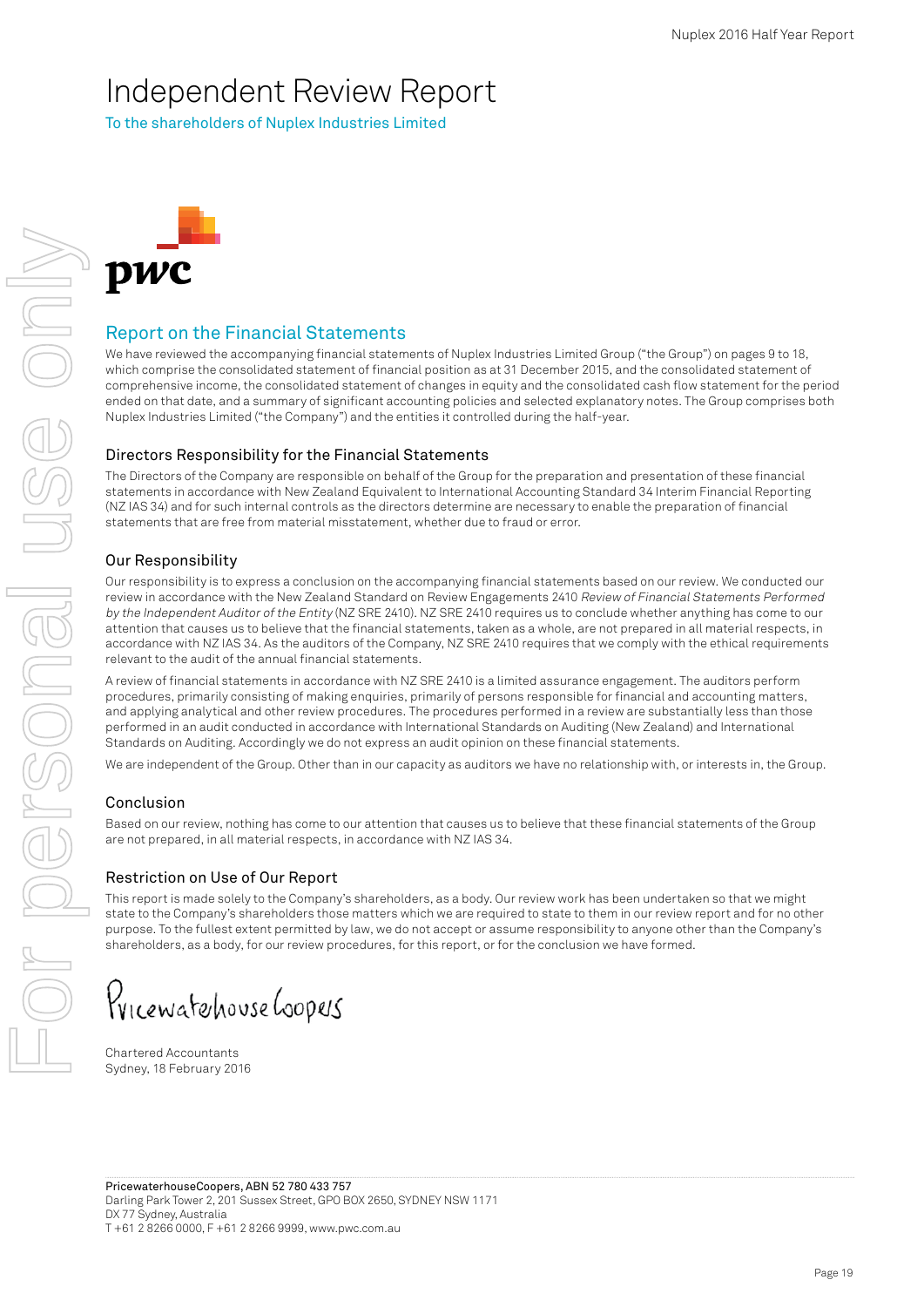# Independent Review Report

To the shareholders of Nuplex Industries Limited



# Report on the Financial Statements

We have reviewed the accompanying financial statements of Nuplex Industries Limited Group ("the Group") on pages 9 to 18, which comprise the consolidated statement of financial position as at 31 December 2015, and the consolidated statement of comprehensive income, the consolidated statement of changes in equity and the consolidated cash flow statement for the period ended on that date, and a summary of significant accounting policies and selected explanatory notes. The Group comprises both Nuplex Industries Limited ("the Company") and the entities it controlled during the half-year.

## Directors Responsibility for the Financial Statements

The Directors of the Company are responsible on behalf of the Group for the preparation and presentation of these financial statements in accordance with New Zealand Equivalent to International Accounting Standard 34 Interim Financial Reporting (NZ IAS 34) and for such internal controls as the directors determine are necessary to enable the preparation of financial statements that are free from material misstatement, whether due to fraud or error.

## Our Responsibility

Our responsibility is to express a conclusion on the accompanying financial statements based on our review. We conducted our review in accordance with the New Zealand Standard on Review Engagements 2410 Review of Financial Statements Performed by the Independent Auditor of the Entity (NZ SRE 2410). NZ SRE 2410 requires us to conclude whether anything has come to our attention that causes us to believe that the financial statements, taken as a whole, are not prepared in all material respects, in accordance with NZ IAS 34. As the auditors of the Company, NZ SRE 2410 requires that we comply with the ethical requirements relevant to the audit of the annual financial statements.

A review of financial statements in accordance with NZ SRE 2410 is a limited assurance engagement. The auditors perform procedures, primarily consisting of making enquiries, primarily of persons responsible for financial and accounting matters, and applying analytical and other review procedures. The procedures performed in a review are substantially less than those performed in an audit conducted in accordance with International Standards on Auditing (New Zealand) and International Standards on Auditing. Accordingly we do not express an audit opinion on these financial statements.

We are independent of the Group. Other than in our capacity as auditors we have no relationship with, or interests in, the Group.

#### Conclusion

Based on our review, nothing has come to our attention that causes us to believe that these financial statements of the Group are not prepared, in all material respects, in accordance with NZ IAS 34.

#### Restriction on Use of Our Report

This report is made solely to the Company's shareholders, as a body. Our review work has been undertaken so that we might state to the Company's shareholders those matters which we are required to state to them in our review report and for no other purpose. To the fullest extent permitted by law, we do not accept or assume responsibility to anyone other than the Company's shareholders, as a body, for our review procedures, for this report, or for the conclusion we have formed.

Pricewatehouse Goopers

Chartered Accountants Sydney, 18 February 2016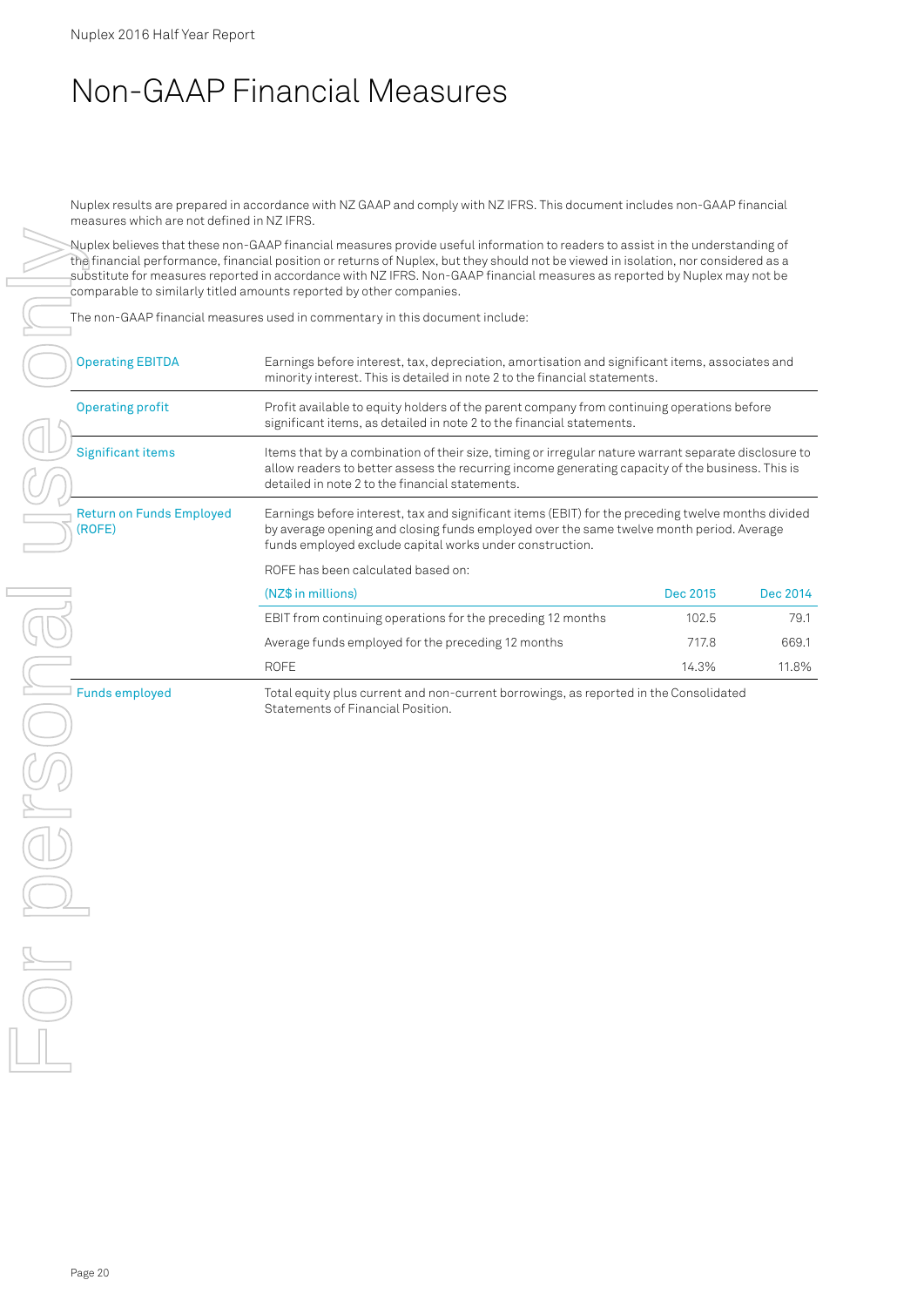# Non-GAAP Financial Measures

Nuplex results are prepared in accordance with NZ GAAP and comply with NZ IFRS. This document includes non-GAAP financial measures which are not defined in NZ IFRS.

Nuplex believes that these non-GAAP financial measures provide useful information to readers to assist in the understanding of the financial performance, financial position or returns of Nuplex, but they should not be viewed in isolation, nor considered as a substitute for measures reported in accordance with NZ IFRS. Non-GAAP financial measures as reported by Nuplex may not be comparable to similarly titled amounts reported by other companies.

The non-GAAP financial measures used in commentary in this document include:

| <b>Operating EBITDA</b>                   | Earnings before interest, tax, depreciation, amortisation and significant items, associates and<br>minority interest. This is detailed in note 2 to the financial statements.                                                                               |          |          |  |  |
|-------------------------------------------|-------------------------------------------------------------------------------------------------------------------------------------------------------------------------------------------------------------------------------------------------------------|----------|----------|--|--|
| <b>Operating profit</b>                   | Profit available to equity holders of the parent company from continuing operations before<br>significant items, as detailed in note 2 to the financial statements.                                                                                         |          |          |  |  |
| <b>Significant items</b>                  | Items that by a combination of their size, timing or irregular nature warrant separate disclosure to<br>allow readers to better assess the recurring income generating capacity of the business. This is<br>detailed in note 2 to the financial statements. |          |          |  |  |
| <b>Return on Funds Employed</b><br>(ROFE) | Earnings before interest, tax and significant items (EBIT) for the preceding twelve months divided<br>by average opening and closing funds employed over the same twelve month period. Average<br>funds employed exclude capital works under construction.  |          |          |  |  |
|                                           | ROFE has been calculated based on:                                                                                                                                                                                                                          |          |          |  |  |
|                                           | (NZ\$ in millions)                                                                                                                                                                                                                                          | Dec 2015 | Dec 2014 |  |  |
|                                           | EBIT from continuing operations for the preceding 12 months                                                                                                                                                                                                 | 102.5    | 79.1     |  |  |
|                                           | Average funds employed for the preceding 12 months                                                                                                                                                                                                          | 717.8    | 669.1    |  |  |
|                                           | <b>ROFE</b>                                                                                                                                                                                                                                                 | 14.3%    | 11.8%    |  |  |
| <b>Funds employed</b>                     | Total equity plus current and non-current borrowings, as reported in the Consolidated                                                                                                                                                                       |          |          |  |  |

Statements of Financial Position.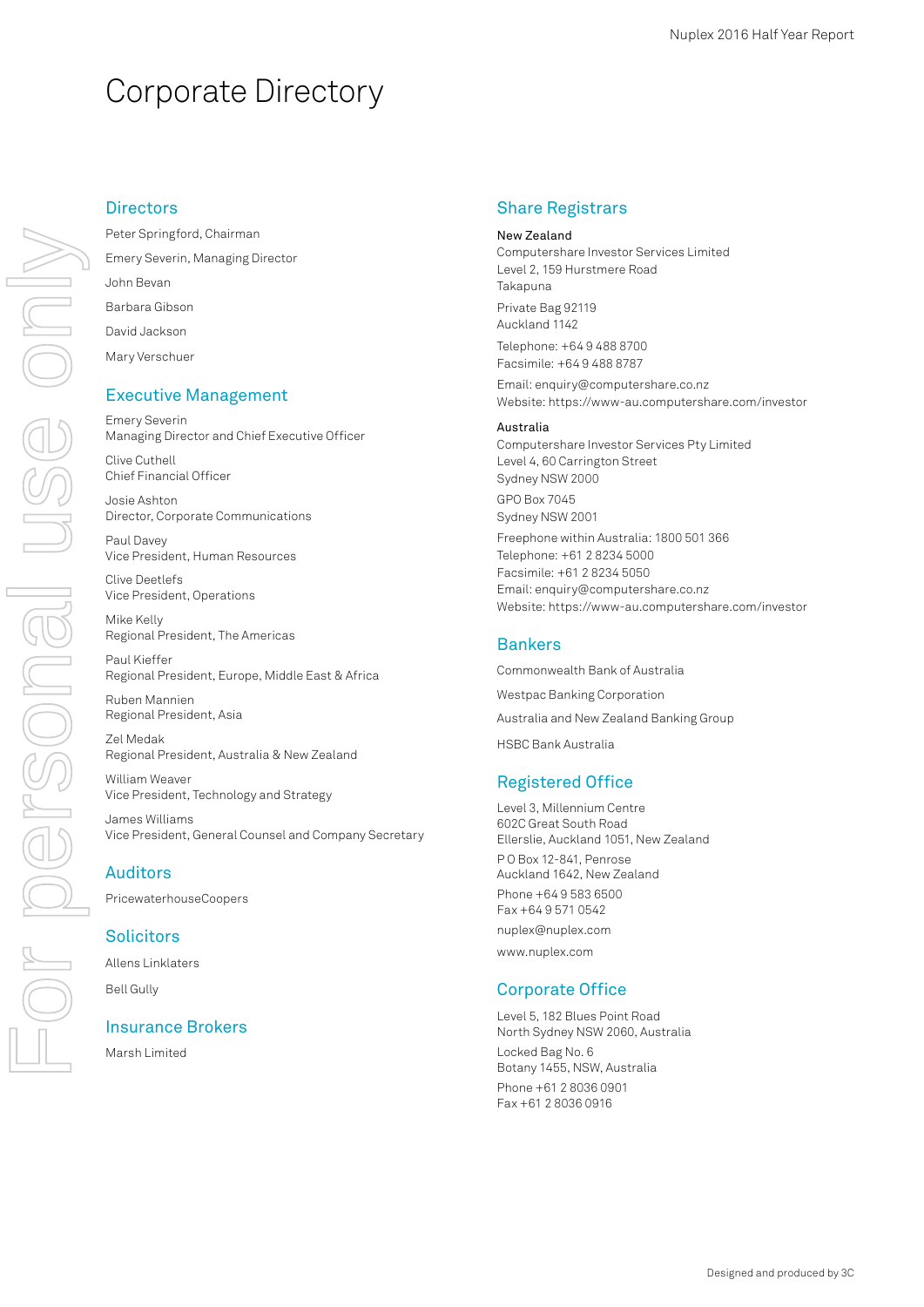# Corporate Directory

# For personal use only For personal use only

## **Directors**

Peter Springford, Chairman Emery Severin, Managing Director John Bevan Barbara Gibson David Jackson Mary Verschuer

## Executive Management

Emery Severin Managing Director and Chief Executive Officer

Clive Cuthell Chief Financial Officer

Josie Ashton Director, Corporate Communications

Paul Davey Vice President, Human Resources

Clive Deetlefs Vice President, Operations

Mike Kelly Regional President, The Americas

Paul Kieffer Regional President, Europe, Middle East & Africa

Ruben Mannien Regional President, Asia

Zel Medak Regional President, Australia & New Zealand

William Weaver Vice President, Technology and Strategy

James Williams Vice President, General Counsel and Company Secretary

#### Auditors

PricewaterhouseCoopers

#### **Solicitors**

Allens Linklaters Bell Gully

#### Insurance Brokers

Marsh Limited

#### Share Registrars

New Zealand Computershare Investor Services Limited Level 2, 159 Hurstmere Road Takapuna Private Bag 92119 Auckland 1142 Telephone: +64 9 488 8700 Facsimile: +64 9 488 8787

Email: enquiry@computershare.co.nz Website: https://www-au.computershare.com/investor

#### Australia

Computershare Investor Services Pty Limited Level 4, 60 Carrington Street Sydney NSW 2000 GPO Box 7045 Sydney NSW 2001 Freephone within Australia: 1800 501 366

Telephone: +61 2 8234 5000 Facsimile: +61 2 8234 5050 Email: enquiry@computershare.co.nz Website: https://www-au.computershare.com/investor

## Bankers

Commonwealth Bank of Australia Westpac Banking Corporation Australia and New Zealand Banking Group HSBC Bank Australia Registered Office

Level 3, Millennium Centre 602C Great South Road Ellerslie, Auckland 1051, New Zealand P O Box 12-841, Penrose Auckland 1642, New Zealand Phone +64 9 583 6500 Fax +64 9 571 0542 nuplex@nuplex.com www.nuplex.com

## Corporate Office

Level 5, 182 Blues Point Road North Sydney NSW 2060, Australia Locked Bag No. 6 Botany 1455, NSW, Australia Phone +61 2 8036 0901 Fax +61 2 8036 0916